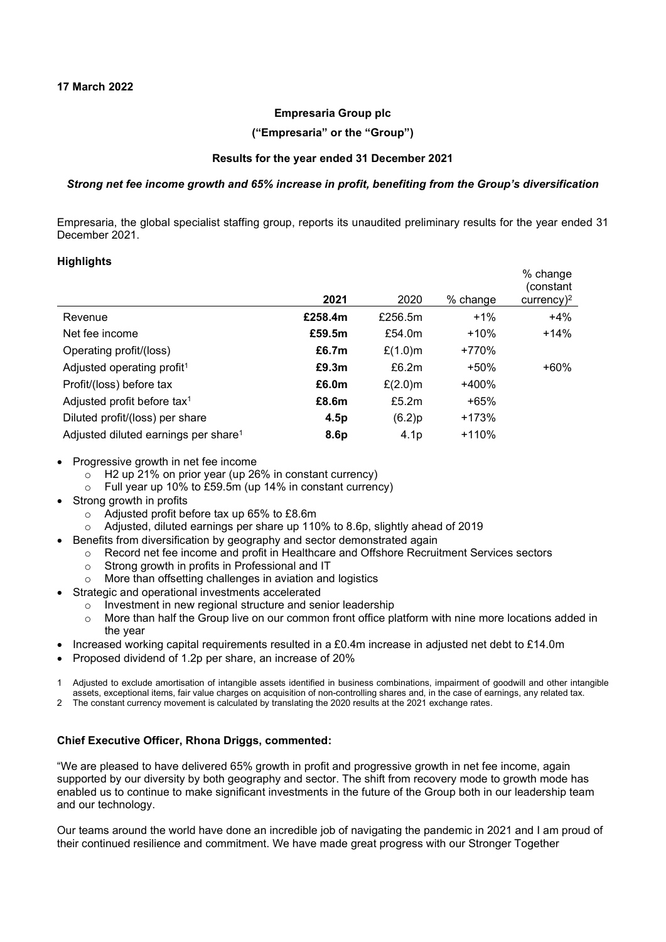## Empresaria Group plc

("Empresaria" or the "Group")

#### Results for the year ended 31 December 2021

#### Strong net fee income growth and 65% increase in profit, benefiting from the Group's diversification

Empresaria, the global specialist staffing group, reports its unaudited preliminary results for the year ended 31 December 2021.

## **Highlights**

|                                                  | 2021    | 2020             | % change | % change<br>(constant<br>currency $)^2$ |
|--------------------------------------------------|---------|------------------|----------|-----------------------------------------|
| Revenue                                          | £258.4m | £256.5m          | $+1\%$   | $+4%$                                   |
| Net fee income                                   | £59.5m  | £54.0m           | $+10%$   | $+14%$                                  |
| Operating profit/(loss)                          | £6.7m   | £ $(1.0)$ m      | +770%    |                                         |
| Adjusted operating profit <sup>1</sup>           | £9.3m   | £6.2m            | $+50%$   | +60%                                    |
| Profit/(loss) before tax                         | £6.0m   | $E(2.0)$ m       | +400%    |                                         |
| Adjusted profit before tax <sup>1</sup>          | £8.6m   | £5.2m            | $+65%$   |                                         |
| Diluted profit/(loss) per share                  | 4.5p    | (6.2)p           | $+173%$  |                                         |
| Adjusted diluted earnings per share <sup>1</sup> | 8.6p    | 4.1 <sub>p</sub> | $+110%$  |                                         |

- Progressive growth in net fee income
	- $\circ$  H2 up 21% on prior year (up 26% in constant currency)
	- o Full year up 10% to £59.5m (up 14% in constant currency)
- Strong growth in profits
	- o Adjusted profit before tax up 65% to £8.6m
	- o Adjusted, diluted earnings per share up 110% to 8.6p, slightly ahead of 2019
	- Benefits from diversification by geography and sector demonstrated again
		- o Record net fee income and profit in Healthcare and Offshore Recruitment Services sectors
		- o Strong growth in profits in Professional and IT
		- o More than offsetting challenges in aviation and logistics
- Strategic and operational investments accelerated
	- o Investment in new regional structure and senior leadership
	- $\circ$  More than half the Group live on our common front office platform with nine more locations added in the year
- Increased working capital requirements resulted in a £0.4m increase in adjusted net debt to £14.0m
- Proposed dividend of 1.2p per share, an increase of 20%

1 Adjusted to exclude amortisation of intangible assets identified in business combinations, impairment of goodwill and other intangible assets, exceptional items, fair value charges on acquisition of non-controlling shares and, in the case of earnings, any related tax.

2 The constant currency movement is calculated by translating the 2020 results at the 2021 exchange rates.

## Chief Executive Officer, Rhona Driggs, commented:

"We are pleased to have delivered 65% growth in profit and progressive growth in net fee income, again supported by our diversity by both geography and sector. The shift from recovery mode to growth mode has enabled us to continue to make significant investments in the future of the Group both in our leadership team and our technology.

Our teams around the world have done an incredible job of navigating the pandemic in 2021 and I am proud of their continued resilience and commitment. We have made great progress with our Stronger Together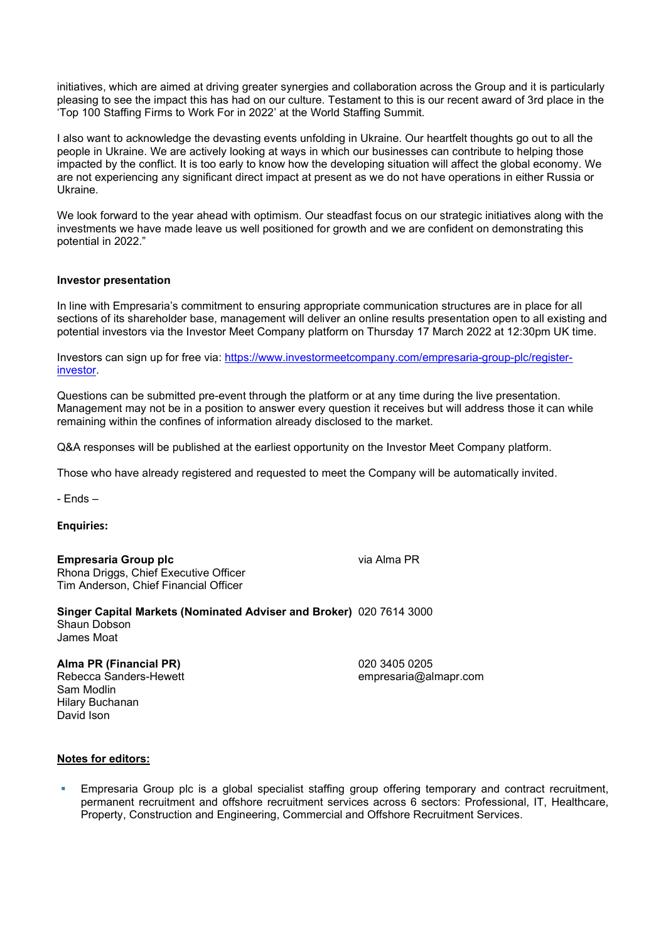initiatives, which are aimed at driving greater synergies and collaboration across the Group and it is particularly pleasing to see the impact this has had on our culture. Testament to this is our recent award of 3rd place in the 'Top 100 Staffing Firms to Work For in 2022' at the World Staffing Summit.

I also want to acknowledge the devasting events unfolding in Ukraine. Our heartfelt thoughts go out to all the people in Ukraine. We are actively looking at ways in which our businesses can contribute to helping those impacted by the conflict. It is too early to know how the developing situation will affect the global economy. We are not experiencing any significant direct impact at present as we do not have operations in either Russia or Ukraine.

We look forward to the year ahead with optimism. Our steadfast focus on our strategic initiatives along with the investments we have made leave us well positioned for growth and we are confident on demonstrating this potential in 2022."

#### Investor presentation

In line with Empresaria's commitment to ensuring appropriate communication structures are in place for all sections of its shareholder base, management will deliver an online results presentation open to all existing and potential investors via the Investor Meet Company platform on Thursday 17 March 2022 at 12:30pm UK time.

Investors can sign up for free via: https://www.investormeetcompany.com/empresaria-group-plc/registerinvestor.

Questions can be submitted pre-event through the platform or at any time during the live presentation. Management may not be in a position to answer every question it receives but will address those it can while remaining within the confines of information already disclosed to the market.

Q&A responses will be published at the earliest opportunity on the Investor Meet Company platform.

Those who have already registered and requested to meet the Company will be automatically invited.

- Ends –

Enquiries:

## Empresaria Group plc

Rhona Driggs, Chief Executive Officer Tim Anderson, Chief Financial Officer

via Alma PR

Singer Capital Markets (Nominated Adviser and Broker) 020 7614 3000 Shaun Dobson James Moat

# Alma PR (Financial PR)

Rebecca Sanders-Hewett Sam Modlin Hilary Buchanan David Ison

020 3405 0205 empresaria@almapr.com

#### Notes for editors:

 Empresaria Group plc is a global specialist staffing group offering temporary and contract recruitment, permanent recruitment and offshore recruitment services across 6 sectors: Professional, IT, Healthcare, Property, Construction and Engineering, Commercial and Offshore Recruitment Services.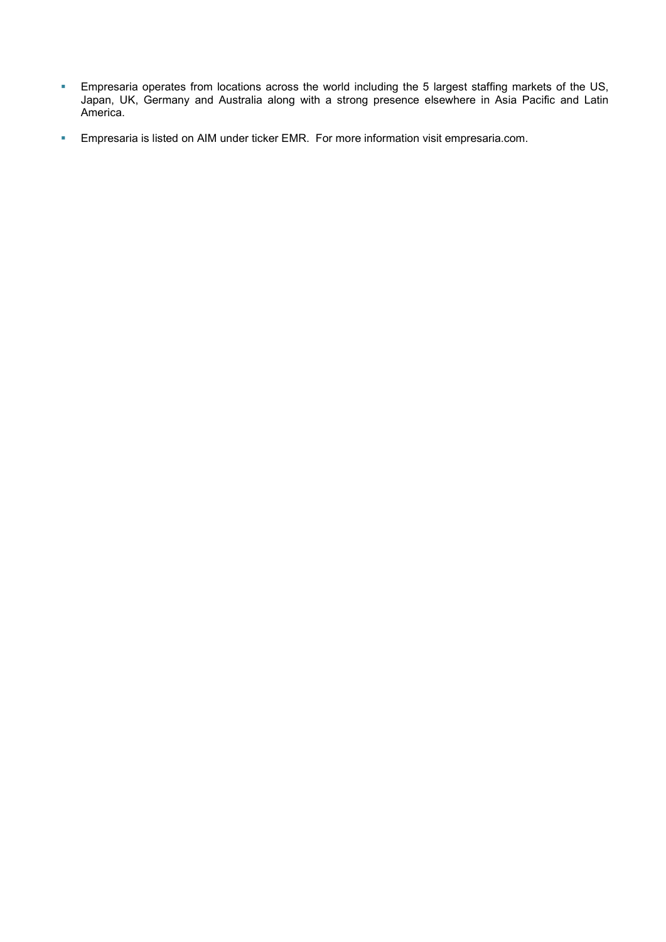- Empresaria operates from locations across the world including the 5 largest staffing markets of the US, Japan, UK, Germany and Australia along with a strong presence elsewhere in Asia Pacific and Latin America.
- **Empresaria is listed on AIM under ticker EMR. For more information visit empresaria.com.**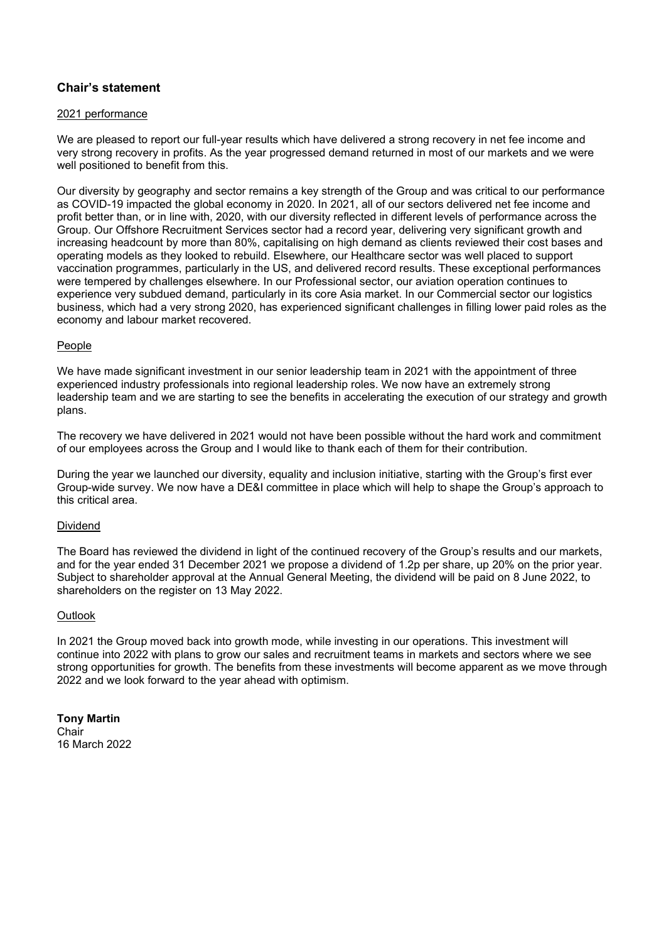## Chair's statement

#### 2021 performance

We are pleased to report our full-year results which have delivered a strong recovery in net fee income and very strong recovery in profits. As the year progressed demand returned in most of our markets and we were well positioned to benefit from this.

Our diversity by geography and sector remains a key strength of the Group and was critical to our performance as COVID-19 impacted the global economy in 2020. In 2021, all of our sectors delivered net fee income and profit better than, or in line with, 2020, with our diversity reflected in different levels of performance across the Group. Our Offshore Recruitment Services sector had a record year, delivering very significant growth and increasing headcount by more than 80%, capitalising on high demand as clients reviewed their cost bases and operating models as they looked to rebuild. Elsewhere, our Healthcare sector was well placed to support vaccination programmes, particularly in the US, and delivered record results. These exceptional performances were tempered by challenges elsewhere. In our Professional sector, our aviation operation continues to experience very subdued demand, particularly in its core Asia market. In our Commercial sector our logistics business, which had a very strong 2020, has experienced significant challenges in filling lower paid roles as the economy and labour market recovered.

#### People

We have made significant investment in our senior leadership team in 2021 with the appointment of three experienced industry professionals into regional leadership roles. We now have an extremely strong leadership team and we are starting to see the benefits in accelerating the execution of our strategy and growth plans.

The recovery we have delivered in 2021 would not have been possible without the hard work and commitment of our employees across the Group and I would like to thank each of them for their contribution.

During the year we launched our diversity, equality and inclusion initiative, starting with the Group's first ever Group-wide survey. We now have a DE&I committee in place which will help to shape the Group's approach to this critical area.

#### Dividend

The Board has reviewed the dividend in light of the continued recovery of the Group's results and our markets, and for the year ended 31 December 2021 we propose a dividend of 1.2p per share, up 20% on the prior year. Subject to shareholder approval at the Annual General Meeting, the dividend will be paid on 8 June 2022, to shareholders on the register on 13 May 2022.

#### **Outlook**

In 2021 the Group moved back into growth mode, while investing in our operations. This investment will continue into 2022 with plans to grow our sales and recruitment teams in markets and sectors where we see strong opportunities for growth. The benefits from these investments will become apparent as we move through 2022 and we look forward to the year ahead with optimism.

Tony Martin Chair 16 March 2022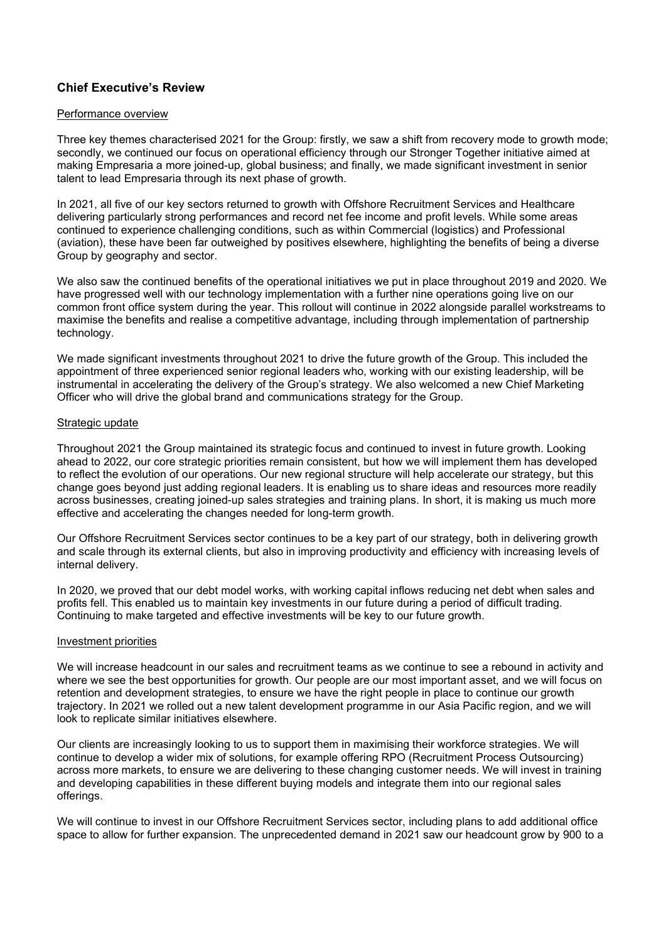## Chief Executive's Review

#### Performance overview

Three key themes characterised 2021 for the Group: firstly, we saw a shift from recovery mode to growth mode; secondly, we continued our focus on operational efficiency through our Stronger Together initiative aimed at making Empresaria a more joined-up, global business; and finally, we made significant investment in senior talent to lead Empresaria through its next phase of growth.

In 2021, all five of our key sectors returned to growth with Offshore Recruitment Services and Healthcare delivering particularly strong performances and record net fee income and profit levels. While some areas continued to experience challenging conditions, such as within Commercial (logistics) and Professional (aviation), these have been far outweighed by positives elsewhere, highlighting the benefits of being a diverse Group by geography and sector.

We also saw the continued benefits of the operational initiatives we put in place throughout 2019 and 2020. We have progressed well with our technology implementation with a further nine operations going live on our common front office system during the year. This rollout will continue in 2022 alongside parallel workstreams to maximise the benefits and realise a competitive advantage, including through implementation of partnership technology.

We made significant investments throughout 2021 to drive the future growth of the Group. This included the appointment of three experienced senior regional leaders who, working with our existing leadership, will be instrumental in accelerating the delivery of the Group's strategy. We also welcomed a new Chief Marketing Officer who will drive the global brand and communications strategy for the Group.

#### Strategic update

Throughout 2021 the Group maintained its strategic focus and continued to invest in future growth. Looking ahead to 2022, our core strategic priorities remain consistent, but how we will implement them has developed to reflect the evolution of our operations. Our new regional structure will help accelerate our strategy, but this change goes beyond just adding regional leaders. It is enabling us to share ideas and resources more readily across businesses, creating joined-up sales strategies and training plans. In short, it is making us much more effective and accelerating the changes needed for long-term growth.

Our Offshore Recruitment Services sector continues to be a key part of our strategy, both in delivering growth and scale through its external clients, but also in improving productivity and efficiency with increasing levels of internal delivery.

In 2020, we proved that our debt model works, with working capital inflows reducing net debt when sales and profits fell. This enabled us to maintain key investments in our future during a period of difficult trading. Continuing to make targeted and effective investments will be key to our future growth.

#### Investment priorities

We will increase headcount in our sales and recruitment teams as we continue to see a rebound in activity and where we see the best opportunities for growth. Our people are our most important asset, and we will focus on retention and development strategies, to ensure we have the right people in place to continue our growth trajectory. In 2021 we rolled out a new talent development programme in our Asia Pacific region, and we will look to replicate similar initiatives elsewhere.

Our clients are increasingly looking to us to support them in maximising their workforce strategies. We will continue to develop a wider mix of solutions, for example offering RPO (Recruitment Process Outsourcing) across more markets, to ensure we are delivering to these changing customer needs. We will invest in training and developing capabilities in these different buying models and integrate them into our regional sales offerings.

We will continue to invest in our Offshore Recruitment Services sector, including plans to add additional office space to allow for further expansion. The unprecedented demand in 2021 saw our headcount grow by 900 to a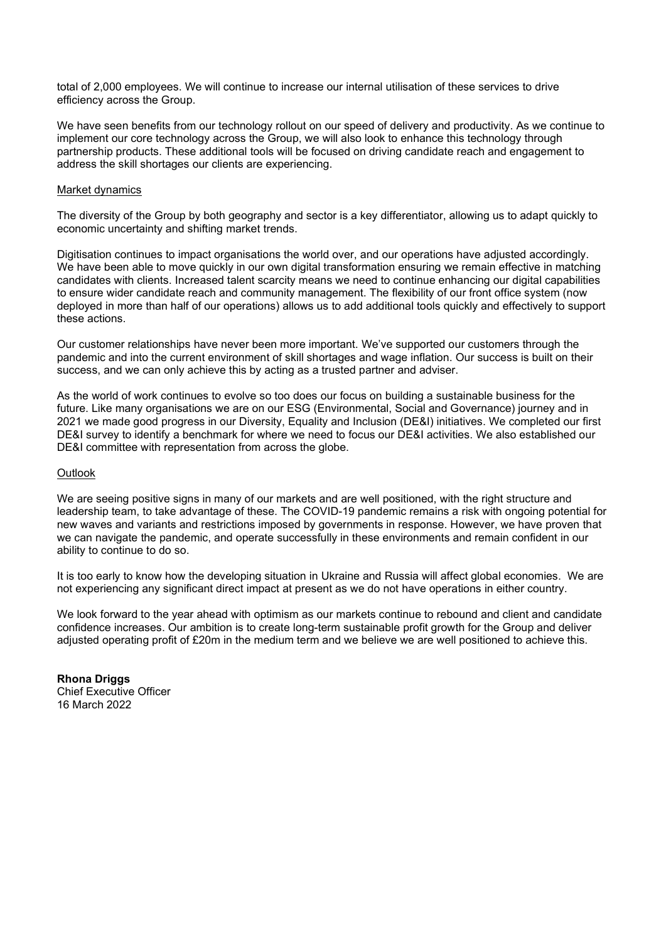total of 2,000 employees. We will continue to increase our internal utilisation of these services to drive efficiency across the Group.

We have seen benefits from our technology rollout on our speed of delivery and productivity. As we continue to implement our core technology across the Group, we will also look to enhance this technology through partnership products. These additional tools will be focused on driving candidate reach and engagement to address the skill shortages our clients are experiencing.

#### Market dynamics

The diversity of the Group by both geography and sector is a key differentiator, allowing us to adapt quickly to economic uncertainty and shifting market trends.

Digitisation continues to impact organisations the world over, and our operations have adjusted accordingly. We have been able to move quickly in our own digital transformation ensuring we remain effective in matching candidates with clients. Increased talent scarcity means we need to continue enhancing our digital capabilities to ensure wider candidate reach and community management. The flexibility of our front office system (now deployed in more than half of our operations) allows us to add additional tools quickly and effectively to support these actions.

Our customer relationships have never been more important. We've supported our customers through the pandemic and into the current environment of skill shortages and wage inflation. Our success is built on their success, and we can only achieve this by acting as a trusted partner and adviser.

As the world of work continues to evolve so too does our focus on building a sustainable business for the future. Like many organisations we are on our ESG (Environmental, Social and Governance) journey and in 2021 we made good progress in our Diversity, Equality and Inclusion (DE&I) initiatives. We completed our first DE&I survey to identify a benchmark for where we need to focus our DE&I activities. We also established our DE&I committee with representation from across the globe.

#### **Outlook**

We are seeing positive signs in many of our markets and are well positioned, with the right structure and leadership team, to take advantage of these. The COVID-19 pandemic remains a risk with ongoing potential for new waves and variants and restrictions imposed by governments in response. However, we have proven that we can navigate the pandemic, and operate successfully in these environments and remain confident in our ability to continue to do so.

It is too early to know how the developing situation in Ukraine and Russia will affect global economies. We are not experiencing any significant direct impact at present as we do not have operations in either country.

We look forward to the year ahead with optimism as our markets continue to rebound and client and candidate confidence increases. Our ambition is to create long-term sustainable profit growth for the Group and deliver adjusted operating profit of £20m in the medium term and we believe we are well positioned to achieve this.

Rhona Driggs Chief Executive Officer 16 March 2022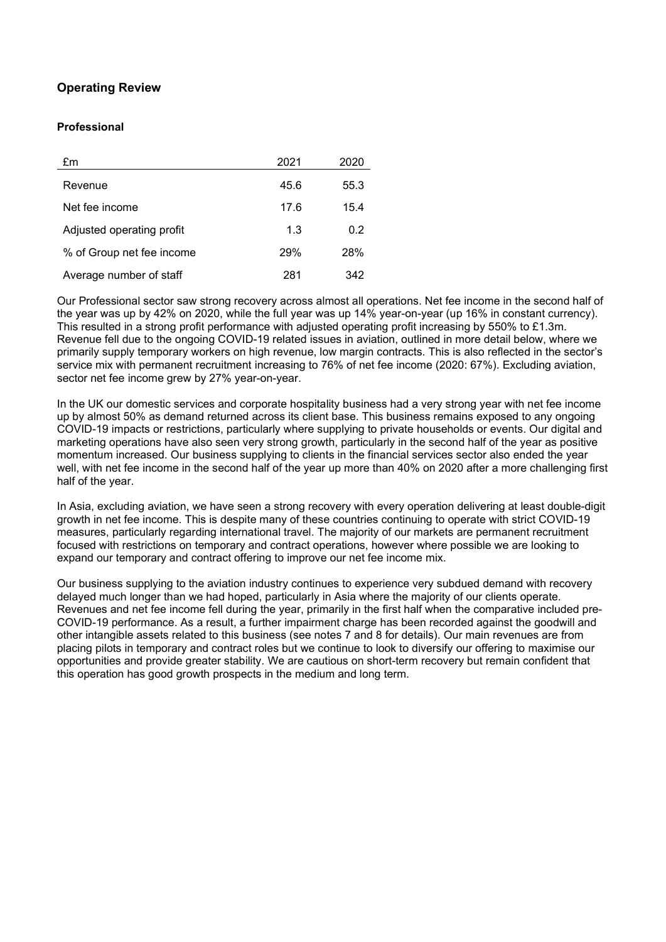# Operating Review

## Professional

| £m                        | 2021 | 2020 |
|---------------------------|------|------|
| Revenue                   | 45.6 | 55.3 |
| Net fee income            | 17.6 | 15.4 |
| Adjusted operating profit | 1.3  | 0.2  |
| % of Group net fee income | 29%  | 28%  |
| Average number of staff   | 281  | 342  |

Our Professional sector saw strong recovery across almost all operations. Net fee income in the second half of the year was up by 42% on 2020, while the full year was up 14% year-on-year (up 16% in constant currency). This resulted in a strong profit performance with adjusted operating profit increasing by 550% to £1.3m. Revenue fell due to the ongoing COVID-19 related issues in aviation, outlined in more detail below, where we primarily supply temporary workers on high revenue, low margin contracts. This is also reflected in the sector's service mix with permanent recruitment increasing to 76% of net fee income (2020: 67%). Excluding aviation, sector net fee income grew by 27% year-on-year.

In the UK our domestic services and corporate hospitality business had a very strong year with net fee income up by almost 50% as demand returned across its client base. This business remains exposed to any ongoing COVID-19 impacts or restrictions, particularly where supplying to private households or events. Our digital and marketing operations have also seen very strong growth, particularly in the second half of the year as positive momentum increased. Our business supplying to clients in the financial services sector also ended the year well, with net fee income in the second half of the year up more than 40% on 2020 after a more challenging first half of the year.

In Asia, excluding aviation, we have seen a strong recovery with every operation delivering at least double-digit growth in net fee income. This is despite many of these countries continuing to operate with strict COVID-19 measures, particularly regarding international travel. The majority of our markets are permanent recruitment focused with restrictions on temporary and contract operations, however where possible we are looking to expand our temporary and contract offering to improve our net fee income mix.

Our business supplying to the aviation industry continues to experience very subdued demand with recovery delayed much longer than we had hoped, particularly in Asia where the majority of our clients operate. Revenues and net fee income fell during the year, primarily in the first half when the comparative included pre-COVID-19 performance. As a result, a further impairment charge has been recorded against the goodwill and other intangible assets related to this business (see notes 7 and 8 for details). Our main revenues are from placing pilots in temporary and contract roles but we continue to look to diversify our offering to maximise our opportunities and provide greater stability. We are cautious on short-term recovery but remain confident that this operation has good growth prospects in the medium and long term.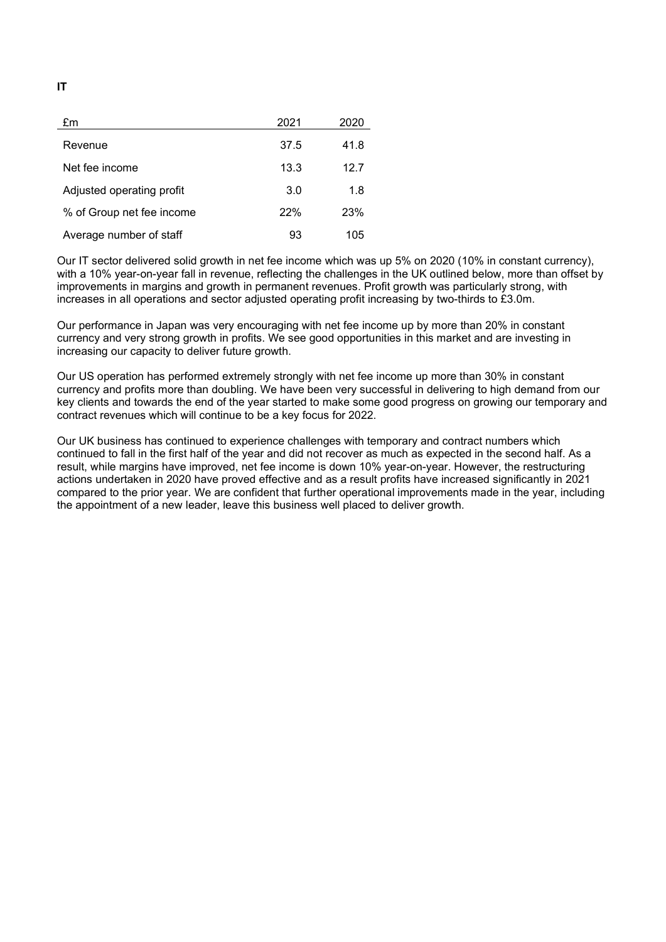### IT

| £m                        | 2021 | 2020 |
|---------------------------|------|------|
| Revenue                   | 37.5 | 41.8 |
| Net fee income            | 13.3 | 12.7 |
| Adjusted operating profit | 3.0  | 1.8  |
| % of Group net fee income | 22%  | 23%  |
| Average number of staff   | 93   | 105  |

Our IT sector delivered solid growth in net fee income which was up 5% on 2020 (10% in constant currency), with a 10% year-on-year fall in revenue, reflecting the challenges in the UK outlined below, more than offset by improvements in margins and growth in permanent revenues. Profit growth was particularly strong, with increases in all operations and sector adjusted operating profit increasing by two-thirds to £3.0m.

Our performance in Japan was very encouraging with net fee income up by more than 20% in constant currency and very strong growth in profits. We see good opportunities in this market and are investing in increasing our capacity to deliver future growth.

Our US operation has performed extremely strongly with net fee income up more than 30% in constant currency and profits more than doubling. We have been very successful in delivering to high demand from our key clients and towards the end of the year started to make some good progress on growing our temporary and contract revenues which will continue to be a key focus for 2022.

Our UK business has continued to experience challenges with temporary and contract numbers which continued to fall in the first half of the year and did not recover as much as expected in the second half. As a result, while margins have improved, net fee income is down 10% year-on-year. However, the restructuring actions undertaken in 2020 have proved effective and as a result profits have increased significantly in 2021 compared to the prior year. We are confident that further operational improvements made in the year, including the appointment of a new leader, leave this business well placed to deliver growth.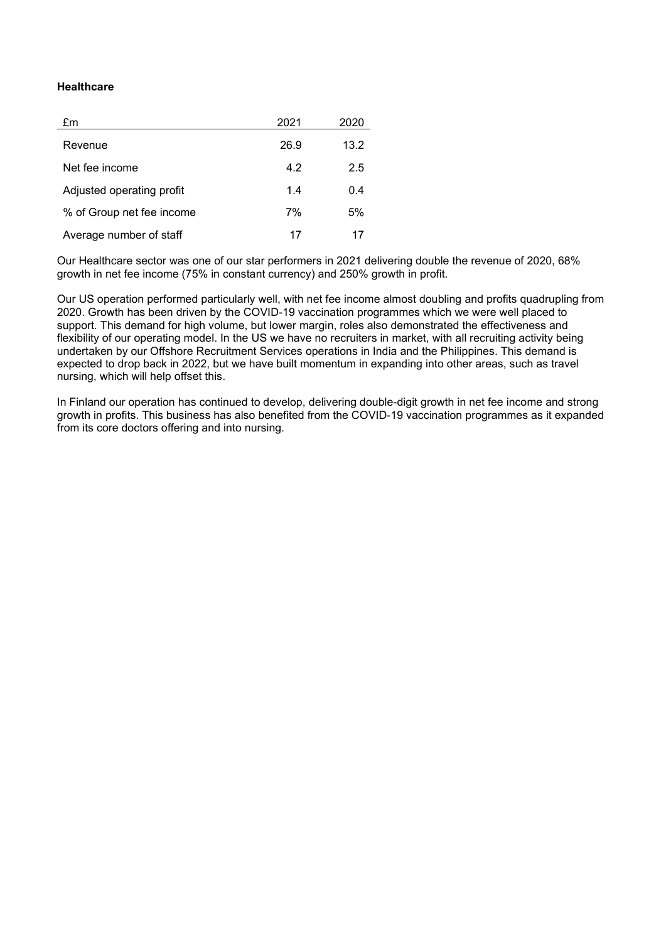### **Healthcare**

| £m                        | 2021 | 2020 |
|---------------------------|------|------|
| Revenue                   | 26.9 | 13.2 |
| Net fee income            | 4.2  | 2.5  |
| Adjusted operating profit | 1.4  | 0.4  |
| % of Group net fee income | 7%   | 5%   |
| Average number of staff   | 17   | 17   |

Our Healthcare sector was one of our star performers in 2021 delivering double the revenue of 2020, 68% growth in net fee income (75% in constant currency) and 250% growth in profit.

Our US operation performed particularly well, with net fee income almost doubling and profits quadrupling from 2020. Growth has been driven by the COVID-19 vaccination programmes which we were well placed to support. This demand for high volume, but lower margin, roles also demonstrated the effectiveness and flexibility of our operating model. In the US we have no recruiters in market, with all recruiting activity being undertaken by our Offshore Recruitment Services operations in India and the Philippines. This demand is expected to drop back in 2022, but we have built momentum in expanding into other areas, such as travel nursing, which will help offset this.

In Finland our operation has continued to develop, delivering double-digit growth in net fee income and strong growth in profits. This business has also benefited from the COVID-19 vaccination programmes as it expanded from its core doctors offering and into nursing.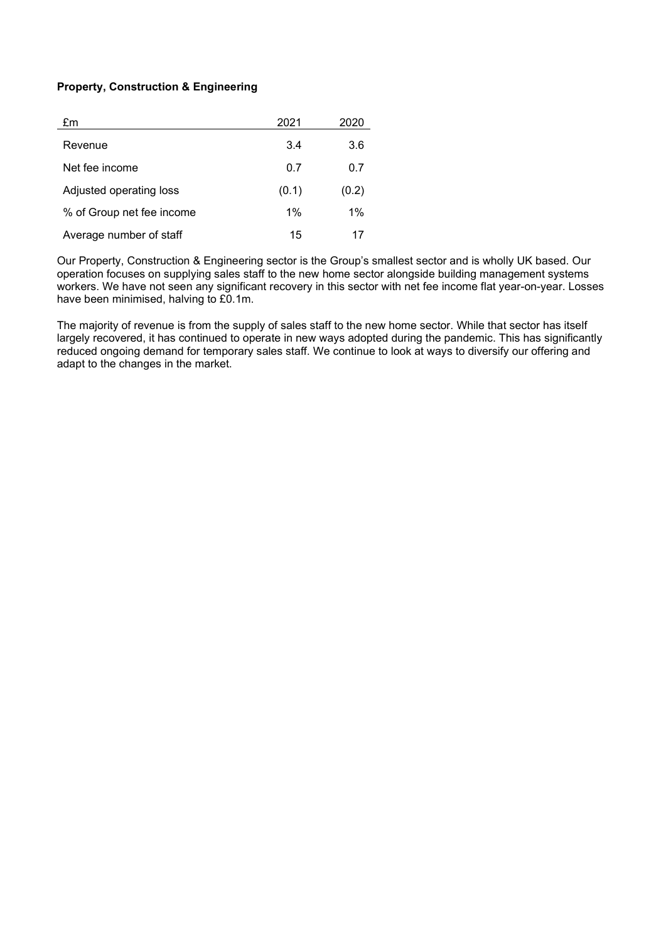## Property, Construction & Engineering

| £m                        | 2021  | 2020  |
|---------------------------|-------|-------|
| Revenue                   | 3.4   | 3.6   |
| Net fee income            | 0.7   | 0.7   |
| Adjusted operating loss   | (0.1) | (0.2) |
| % of Group net fee income | $1\%$ | 1%    |
| Average number of staff   | 15    |       |

Our Property, Construction & Engineering sector is the Group's smallest sector and is wholly UK based. Our operation focuses on supplying sales staff to the new home sector alongside building management systems workers. We have not seen any significant recovery in this sector with net fee income flat year-on-year. Losses have been minimised, halving to £0.1m.

The majority of revenue is from the supply of sales staff to the new home sector. While that sector has itself largely recovered, it has continued to operate in new ways adopted during the pandemic. This has significantly reduced ongoing demand for temporary sales staff. We continue to look at ways to diversify our offering and adapt to the changes in the market.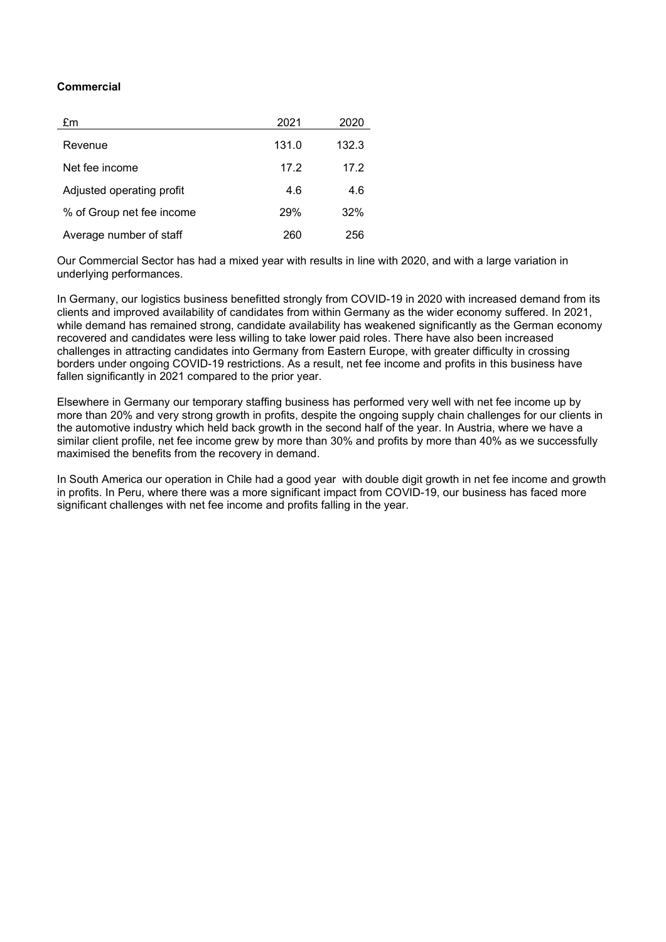## **Commercial**

| £m                        | 2021  | 2020  |
|---------------------------|-------|-------|
| Revenue                   | 131.0 | 132.3 |
| Net fee income            | 17.2  | 17.2  |
| Adjusted operating profit | 4.6   | 4.6   |
| % of Group net fee income | 29%   | 32%   |
| Average number of staff   | 260   | 256   |

Our Commercial Sector has had a mixed year with results in line with 2020, and with a large variation in underlying performances.

In Germany, our logistics business benefitted strongly from COVID-19 in 2020 with increased demand from its clients and improved availability of candidates from within Germany as the wider economy suffered. In 2021, while demand has remained strong, candidate availability has weakened significantly as the German economy recovered and candidates were less willing to take lower paid roles. There have also been increased challenges in attracting candidates into Germany from Eastern Europe, with greater difficulty in crossing borders under ongoing COVID-19 restrictions. As a result, net fee income and profits in this business have fallen significantly in 2021 compared to the prior year.

Elsewhere in Germany our temporary staffing business has performed very well with net fee income up by more than 20% and very strong growth in profits, despite the ongoing supply chain challenges for our clients in the automotive industry which held back growth in the second half of the year. In Austria, where we have a similar client profile, net fee income grew by more than 30% and profits by more than 40% as we successfully maximised the benefits from the recovery in demand.

In South America our operation in Chile had a good year with double digit growth in net fee income and growth in profits. In Peru, where there was a more significant impact from COVID-19, our business has faced more significant challenges with net fee income and profits falling in the year.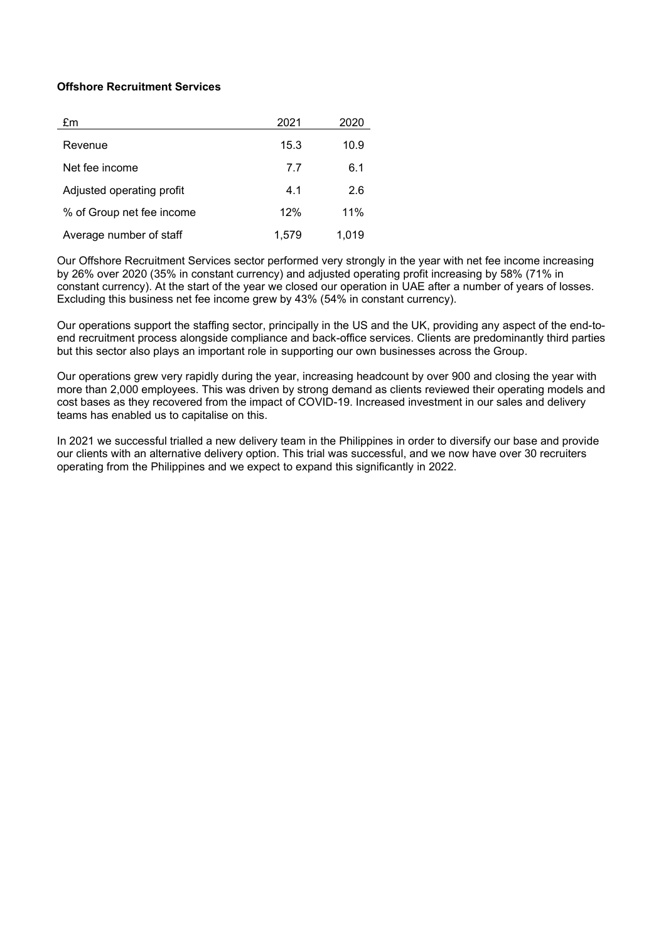## Offshore Recruitment Services

| £m                        | 2021  | 2020  |
|---------------------------|-------|-------|
| Revenue                   | 15.3  | 10.9  |
| Net fee income            | 7.7   | 6.1   |
| Adjusted operating profit | 4.1   | 2.6   |
| % of Group net fee income | 12%   | 11%   |
| Average number of staff   | 1.579 | 1.019 |

Our Offshore Recruitment Services sector performed very strongly in the year with net fee income increasing by 26% over 2020 (35% in constant currency) and adjusted operating profit increasing by 58% (71% in constant currency). At the start of the year we closed our operation in UAE after a number of years of losses. Excluding this business net fee income grew by 43% (54% in constant currency).

Our operations support the staffing sector, principally in the US and the UK, providing any aspect of the end-toend recruitment process alongside compliance and back-office services. Clients are predominantly third parties but this sector also plays an important role in supporting our own businesses across the Group.

Our operations grew very rapidly during the year, increasing headcount by over 900 and closing the year with more than 2,000 employees. This was driven by strong demand as clients reviewed their operating models and cost bases as they recovered from the impact of COVID-19. Increased investment in our sales and delivery teams has enabled us to capitalise on this.

In 2021 we successful trialled a new delivery team in the Philippines in order to diversify our base and provide our clients with an alternative delivery option. This trial was successful, and we now have over 30 recruiters operating from the Philippines and we expect to expand this significantly in 2022.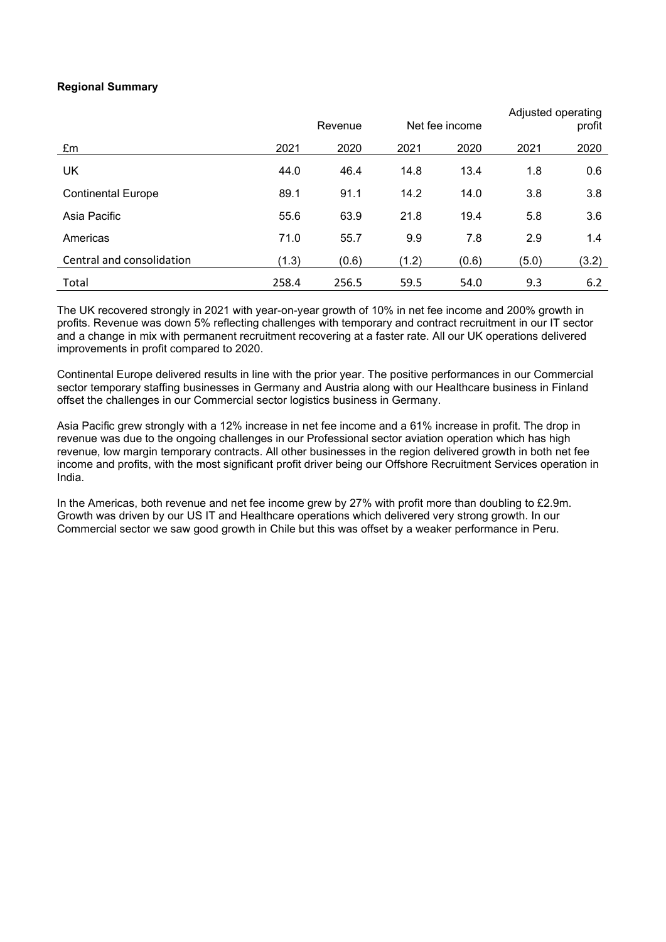## Regional Summary

|                           |       | Revenue |       | Net fee income |       | Adjusted operating<br>profit |
|---------------------------|-------|---------|-------|----------------|-------|------------------------------|
| £m                        | 2021  | 2020    | 2021  | 2020           | 2021  | 2020                         |
| UK                        | 44.0  | 46.4    | 14.8  | 13.4           | 1.8   | 0.6                          |
| <b>Continental Europe</b> | 89.1  | 91.1    | 14.2  | 14.0           | 3.8   | 3.8                          |
| Asia Pacific              | 55.6  | 63.9    | 21.8  | 19.4           | 5.8   | 3.6                          |
| Americas                  | 71.0  | 55.7    | 9.9   | 7.8            | 2.9   | 1.4                          |
| Central and consolidation | (1.3) | (0.6)   | (1.2) | (0.6)          | (5.0) | (3.2)                        |
| Total                     | 258.4 | 256.5   | 59.5  | 54.0           | 9.3   | 6.2                          |

The UK recovered strongly in 2021 with year-on-year growth of 10% in net fee income and 200% growth in profits. Revenue was down 5% reflecting challenges with temporary and contract recruitment in our IT sector and a change in mix with permanent recruitment recovering at a faster rate. All our UK operations delivered improvements in profit compared to 2020.

Continental Europe delivered results in line with the prior year. The positive performances in our Commercial sector temporary staffing businesses in Germany and Austria along with our Healthcare business in Finland offset the challenges in our Commercial sector logistics business in Germany.

Asia Pacific grew strongly with a 12% increase in net fee income and a 61% increase in profit. The drop in revenue was due to the ongoing challenges in our Professional sector aviation operation which has high revenue, low margin temporary contracts. All other businesses in the region delivered growth in both net fee income and profits, with the most significant profit driver being our Offshore Recruitment Services operation in India.

In the Americas, both revenue and net fee income grew by 27% with profit more than doubling to £2.9m. Growth was driven by our US IT and Healthcare operations which delivered very strong growth. In our Commercial sector we saw good growth in Chile but this was offset by a weaker performance in Peru.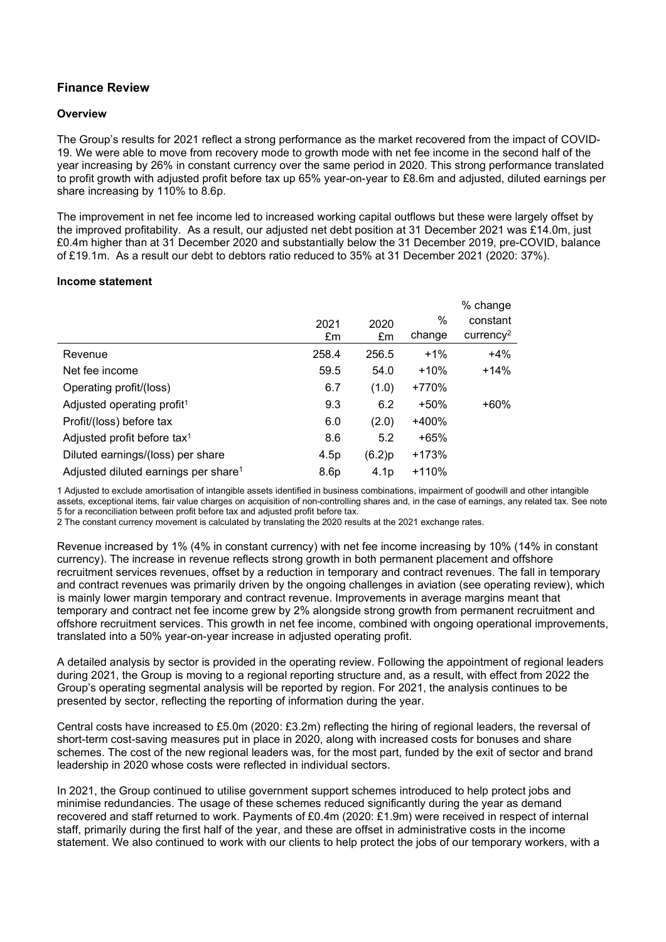## Finance Review

#### **Overview**

The Group's results for 2021 reflect a strong performance as the market recovered from the impact of COVID-19. We were able to move from recovery mode to growth mode with net fee income in the second half of the year increasing by 26% in constant currency over the same period in 2020. This strong performance translated to profit growth with adjusted profit before tax up 65% year-on-year to £8.6m and adjusted, diluted earnings per share increasing by 110% to 8.6p.

The improvement in net fee income led to increased working capital outflows but these were largely offset by the improved profitability. As a result, our adjusted net debt position at 31 December 2021 was £14.0m, just £0.4m higher than at 31 December 2020 and substantially below the 31 December 2019, pre-COVID, balance of £19.1m. As a result our debt to debtors ratio reduced to 35% at 31 December 2021 (2020: 37%).

#### Income statement

|                                                  |                  |                  |         | % change              |
|--------------------------------------------------|------------------|------------------|---------|-----------------------|
|                                                  | 2021             | 2020             | $\%$    | constant              |
|                                                  | £m               | £m               | change  | curvency <sup>2</sup> |
| Revenue                                          | 258.4            | 256.5            | $+1%$   | $+4%$                 |
| Net fee income                                   | 59.5             | 54.0             | $+10%$  | $+14%$                |
| Operating profit/(loss)                          | 6.7              | (1.0)            | +770%   |                       |
| Adjusted operating profit <sup>1</sup>           | 9.3              | 6.2              | $+50%$  | $+60%$                |
| Profit/(loss) before tax                         | 6.0              | (2.0)            | +400%   |                       |
| Adjusted profit before tax <sup>1</sup>          | 8.6              | 5.2              | $+65%$  |                       |
| Diluted earnings/(loss) per share                | 4.5p             | (6.2)p           | +173%   |                       |
| Adjusted diluted earnings per share <sup>1</sup> | 8.6 <sub>p</sub> | 4.1 <sub>p</sub> | $+110%$ |                       |

1 Adjusted to exclude amortisation of intangible assets identified in business combinations, impairment of goodwill and other intangible assets, exceptional items, fair value charges on acquisition of non-controlling shares and, in the case of earnings, any related tax. See note 5 for a reconciliation between profit before tax and adjusted profit before tax.

2 The constant currency movement is calculated by translating the 2020 results at the 2021 exchange rates.

Revenue increased by 1% (4% in constant currency) with net fee income increasing by 10% (14% in constant currency). The increase in revenue reflects strong growth in both permanent placement and offshore recruitment services revenues, offset by a reduction in temporary and contract revenues. The fall in temporary and contract revenues was primarily driven by the ongoing challenges in aviation (see operating review), which is mainly lower margin temporary and contract revenue. Improvements in average margins meant that temporary and contract net fee income grew by 2% alongside strong growth from permanent recruitment and offshore recruitment services. This growth in net fee income, combined with ongoing operational improvements, translated into a 50% year-on-year increase in adjusted operating profit.

A detailed analysis by sector is provided in the operating review. Following the appointment of regional leaders during 2021, the Group is moving to a regional reporting structure and, as a result, with effect from 2022 the Group's operating segmental analysis will be reported by region. For 2021, the analysis continues to be presented by sector, reflecting the reporting of information during the year.

Central costs have increased to £5.0m (2020: £3.2m) reflecting the hiring of regional leaders, the reversal of short-term cost-saving measures put in place in 2020, along with increased costs for bonuses and share schemes. The cost of the new regional leaders was, for the most part, funded by the exit of sector and brand leadership in 2020 whose costs were reflected in individual sectors.

In 2021, the Group continued to utilise government support schemes introduced to help protect jobs and minimise redundancies. The usage of these schemes reduced significantly during the year as demand recovered and staff returned to work. Payments of £0.4m (2020: £1.9m) were received in respect of internal staff, primarily during the first half of the year, and these are offset in administrative costs in the income statement. We also continued to work with our clients to help protect the jobs of our temporary workers, with a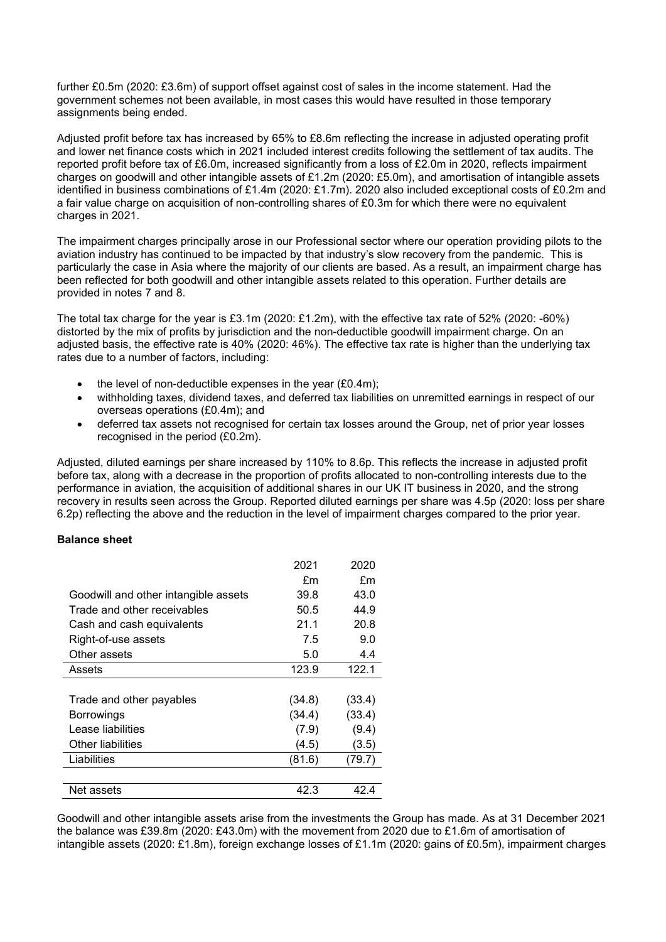further £0.5m (2020: £3.6m) of support offset against cost of sales in the income statement. Had the government schemes not been available, in most cases this would have resulted in those temporary assignments being ended.

Adjusted profit before tax has increased by 65% to £8.6m reflecting the increase in adjusted operating profit and lower net finance costs which in 2021 included interest credits following the settlement of tax audits. The reported profit before tax of £6.0m, increased significantly from a loss of £2.0m in 2020, reflects impairment charges on goodwill and other intangible assets of £1.2m (2020: £5.0m), and amortisation of intangible assets identified in business combinations of £1.4m (2020: £1.7m). 2020 also included exceptional costs of £0.2m and a fair value charge on acquisition of non-controlling shares of £0.3m for which there were no equivalent charges in 2021.

The impairment charges principally arose in our Professional sector where our operation providing pilots to the aviation industry has continued to be impacted by that industry's slow recovery from the pandemic. This is particularly the case in Asia where the majority of our clients are based. As a result, an impairment charge has been reflected for both goodwill and other intangible assets related to this operation. Further details are provided in notes 7 and 8.

The total tax charge for the year is £3.1m (2020: £1.2m), with the effective tax rate of 52% (2020: -60%) distorted by the mix of profits by jurisdiction and the non-deductible goodwill impairment charge. On an adjusted basis, the effective rate is 40% (2020: 46%). The effective tax rate is higher than the underlying tax rates due to a number of factors, including:

- the level of non-deductible expenses in the year (£0.4m);
- withholding taxes, dividend taxes, and deferred tax liabilities on unremitted earnings in respect of our overseas operations (£0.4m); and
- deferred tax assets not recognised for certain tax losses around the Group, net of prior year losses recognised in the period (£0.2m).

Adjusted, diluted earnings per share increased by 110% to 8.6p. This reflects the increase in adjusted profit before tax, along with a decrease in the proportion of profits allocated to non-controlling interests due to the performance in aviation, the acquisition of additional shares in our UK IT business in 2020, and the strong recovery in results seen across the Group. Reported diluted earnings per share was 4.5p (2020: loss per share 6.2p) reflecting the above and the reduction in the level of impairment charges compared to the prior year.

## Balance sheet

|                                      | 2021   | 2020   |
|--------------------------------------|--------|--------|
|                                      | £m     | £m     |
| Goodwill and other intangible assets | 39.8   | 43.0   |
| Trade and other receivables          | 50.5   | 44.9   |
| Cash and cash equivalents            | 21.1   | 20.8   |
| Right-of-use assets                  | 7.5    | 9.0    |
| Other assets                         | 5.0    | 4.4    |
| Assets                               | 123.9  | 122.1  |
|                                      |        |        |
| Trade and other payables             | (34.8) | (33.4) |
| Borrowings                           | (34.4) | (33.4) |
| Lease liabilities                    | (7.9)  | (9.4)  |
| Other liabilities                    | (4.5)  | (3.5)  |
| Liabilities                          | (81.6) | (79.7) |
|                                      |        |        |
| Net assets                           | 42.3   | 42.4   |

Goodwill and other intangible assets arise from the investments the Group has made. As at 31 December 2021 the balance was £39.8m (2020: £43.0m) with the movement from 2020 due to £1.6m of amortisation of intangible assets (2020: £1.8m), foreign exchange losses of £1.1m (2020: gains of £0.5m), impairment charges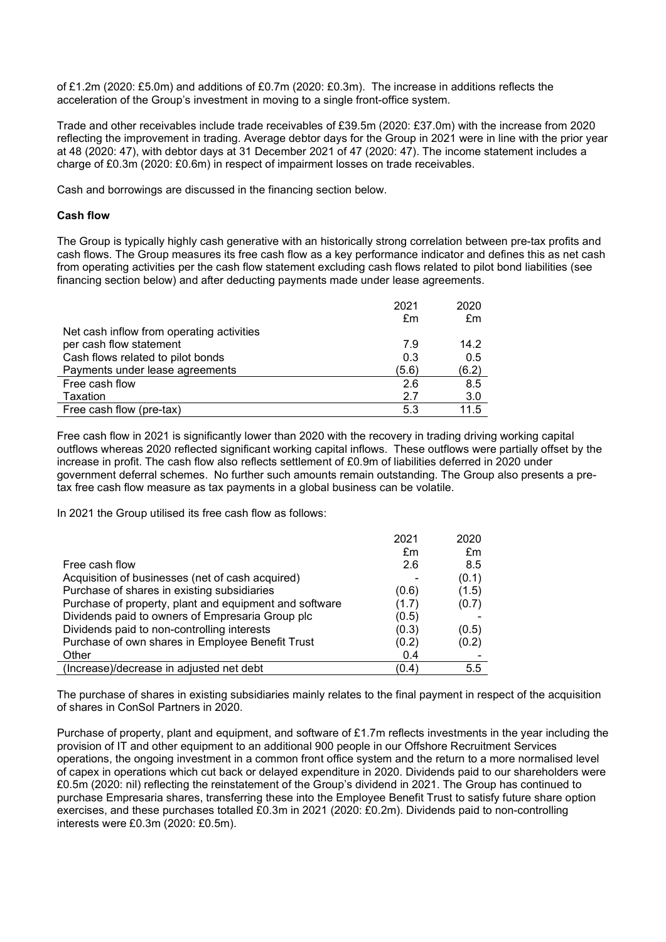of £1.2m (2020: £5.0m) and additions of £0.7m (2020: £0.3m). The increase in additions reflects the acceleration of the Group's investment in moving to a single front-office system.

Trade and other receivables include trade receivables of £39.5m (2020: £37.0m) with the increase from 2020 reflecting the improvement in trading. Average debtor days for the Group in 2021 were in line with the prior year at 48 (2020: 47), with debtor days at 31 December 2021 of 47 (2020: 47). The income statement includes a charge of £0.3m (2020: £0.6m) in respect of impairment losses on trade receivables.

Cash and borrowings are discussed in the financing section below.

#### Cash flow

The Group is typically highly cash generative with an historically strong correlation between pre-tax profits and cash flows. The Group measures its free cash flow as a key performance indicator and defines this as net cash from operating activities per the cash flow statement excluding cash flows related to pilot bond liabilities (see financing section below) and after deducting payments made under lease agreements.

|                                           | 2021  | 2020  |
|-------------------------------------------|-------|-------|
|                                           | £m    | £m    |
| Net cash inflow from operating activities |       |       |
| per cash flow statement                   | 7.9   | 14.2  |
| Cash flows related to pilot bonds         | 0.3   | 0.5   |
| Payments under lease agreements           | (5.6) | (6.2) |
| Free cash flow                            | 26    | 8.5   |
| Taxation                                  | 2.7   | 3.0   |
| Free cash flow (pre-tax)                  | 5.3   | 11.5  |

Free cash flow in 2021 is significantly lower than 2020 with the recovery in trading driving working capital outflows whereas 2020 reflected significant working capital inflows. These outflows were partially offset by the increase in profit. The cash flow also reflects settlement of £0.9m of liabilities deferred in 2020 under government deferral schemes. No further such amounts remain outstanding. The Group also presents a pretax free cash flow measure as tax payments in a global business can be volatile.

In 2021 the Group utilised its free cash flow as follows:

|                                                        | 2021  | 2020  |
|--------------------------------------------------------|-------|-------|
|                                                        | £m    | £m    |
| Free cash flow                                         | 2.6   | 8.5   |
| Acquisition of businesses (net of cash acquired)       |       | (0.1) |
| Purchase of shares in existing subsidiaries            | (0.6) | (1.5) |
| Purchase of property, plant and equipment and software | (1.7) | (0.7) |
| Dividends paid to owners of Empresaria Group plc       | (0.5) |       |
| Dividends paid to non-controlling interests            | (0.3) | (0.5) |
| Purchase of own shares in Employee Benefit Trust       | (0.2) | (0.2) |
| Other                                                  | 0.4   |       |
| (Increase)/decrease in adjusted net debt               | (0.4) | 5.5   |

The purchase of shares in existing subsidiaries mainly relates to the final payment in respect of the acquisition of shares in ConSol Partners in 2020.

Purchase of property, plant and equipment, and software of £1.7m reflects investments in the year including the provision of IT and other equipment to an additional 900 people in our Offshore Recruitment Services operations, the ongoing investment in a common front office system and the return to a more normalised level of capex in operations which cut back or delayed expenditure in 2020. Dividends paid to our shareholders were £0.5m (2020: nil) reflecting the reinstatement of the Group's dividend in 2021. The Group has continued to purchase Empresaria shares, transferring these into the Employee Benefit Trust to satisfy future share option exercises, and these purchases totalled £0.3m in 2021 (2020: £0.2m). Dividends paid to non-controlling interests were £0.3m (2020: £0.5m).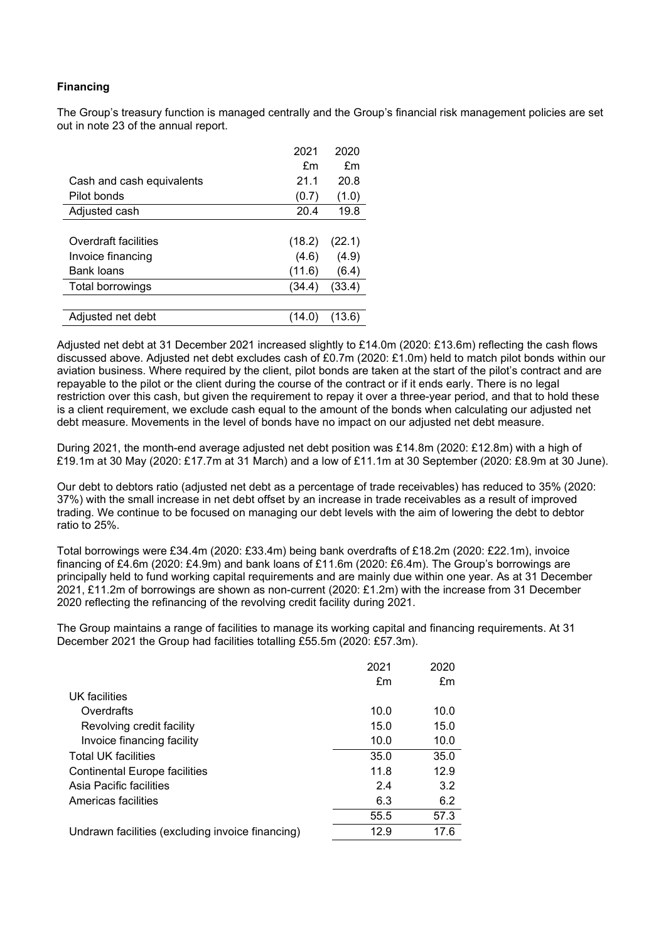## Financing

The Group's treasury function is managed centrally and the Group's financial risk management policies are set out in note 23 of the annual report.

|                           | 2021   | 2020   |
|---------------------------|--------|--------|
|                           | £m     | £m     |
| Cash and cash equivalents | 21.1   | 20.8   |
| Pilot bonds               | (0.7)  | (1.0)  |
| Adjusted cash             | 20.4   | 19.8   |
|                           |        |        |
| Overdraft facilities      | (18.2) | (22.1) |
| Invoice financing         | (4.6)  | (4.9)  |
| <b>Bank loans</b>         | (11.6) | (6.4)  |
| Total borrowings          | (34.4) | (33.4) |
|                           |        |        |
| Adjusted net debt         |        | 13.6   |

Adjusted net debt at 31 December 2021 increased slightly to £14.0m (2020: £13.6m) reflecting the cash flows discussed above. Adjusted net debt excludes cash of £0.7m (2020: £1.0m) held to match pilot bonds within our aviation business. Where required by the client, pilot bonds are taken at the start of the pilot's contract and are repayable to the pilot or the client during the course of the contract or if it ends early. There is no legal restriction over this cash, but given the requirement to repay it over a three-year period, and that to hold these is a client requirement, we exclude cash equal to the amount of the bonds when calculating our adjusted net debt measure. Movements in the level of bonds have no impact on our adjusted net debt measure.

During 2021, the month-end average adjusted net debt position was £14.8m (2020: £12.8m) with a high of £19.1m at 30 May (2020: £17.7m at 31 March) and a low of £11.1m at 30 September (2020: £8.9m at 30 June).

Our debt to debtors ratio (adjusted net debt as a percentage of trade receivables) has reduced to 35% (2020: 37%) with the small increase in net debt offset by an increase in trade receivables as a result of improved trading. We continue to be focused on managing our debt levels with the aim of lowering the debt to debtor ratio to 25%.

Total borrowings were £34.4m (2020: £33.4m) being bank overdrafts of £18.2m (2020: £22.1m), invoice financing of £4.6m (2020: £4.9m) and bank loans of £11.6m (2020: £6.4m). The Group's borrowings are principally held to fund working capital requirements and are mainly due within one year. As at 31 December 2021, £11.2m of borrowings are shown as non-current (2020: £1.2m) with the increase from 31 December 2020 reflecting the refinancing of the revolving credit facility during 2021.

The Group maintains a range of facilities to manage its working capital and financing requirements. At 31 December 2021 the Group had facilities totalling £55.5m (2020: £57.3m).

|                                                  | 2021 | 2020 |
|--------------------------------------------------|------|------|
|                                                  | £m   | £m   |
| UK facilities                                    |      |      |
| Overdrafts                                       | 10.0 | 10.0 |
| Revolving credit facility                        | 15.0 | 15.0 |
| Invoice financing facility                       | 10.0 | 10.0 |
| <b>Total UK facilities</b>                       | 35.0 | 35.0 |
| <b>Continental Europe facilities</b>             | 11.8 | 12.9 |
| Asia Pacific facilities                          | 2.4  | 3.2  |
| Americas facilities                              | 6.3  | 6.2  |
|                                                  | 55.5 | 57.3 |
| Undrawn facilities (excluding invoice financing) | 12.9 | 17.6 |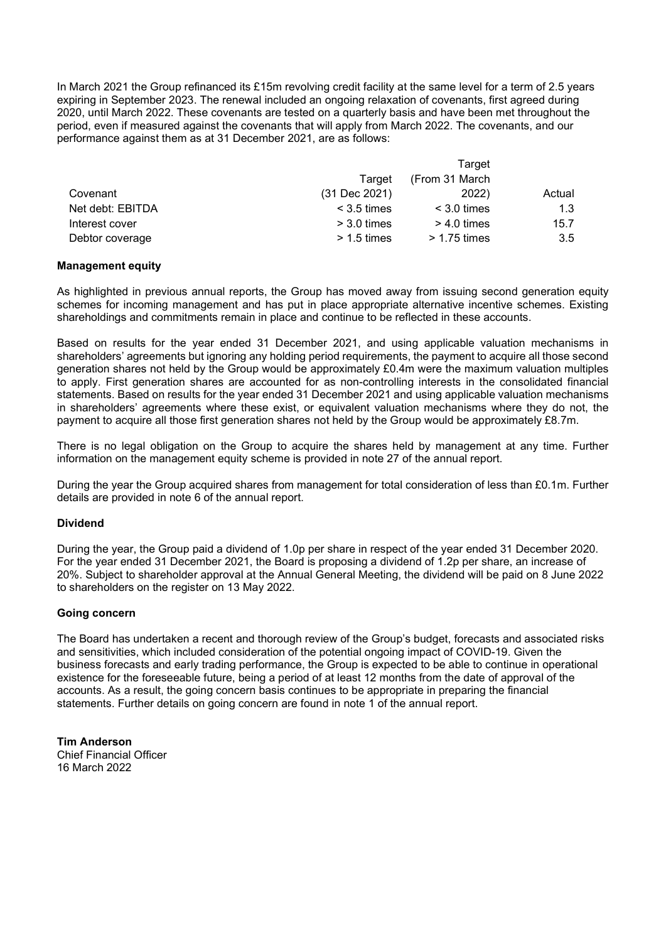In March 2021 the Group refinanced its £15m revolving credit facility at the same level for a term of 2.5 years expiring in September 2023. The renewal included an ongoing relaxation of covenants, first agreed during 2020, until March 2022. These covenants are tested on a quarterly basis and have been met throughout the period, even if measured against the covenants that will apply from March 2022. The covenants, and our performance against them as at 31 December 2021, are as follows:

|                  |                 | Target         |        |  |
|------------------|-----------------|----------------|--------|--|
|                  | Target          | (From 31 March |        |  |
| Covenant         | $(31$ Dec 2021) | 2022           | Actual |  |
| Net debt: EBITDA | $<$ 3.5 times   | $<$ 3.0 times  | 1.3    |  |
| Interest cover   | $>$ 3.0 times   | $>$ 4.0 times  | 15.7   |  |
| Debtor coverage  | $> 1.5$ times   | $> 1.75$ times | 3.5    |  |

#### Management equity

As highlighted in previous annual reports, the Group has moved away from issuing second generation equity schemes for incoming management and has put in place appropriate alternative incentive schemes. Existing shareholdings and commitments remain in place and continue to be reflected in these accounts.

Based on results for the year ended 31 December 2021, and using applicable valuation mechanisms in shareholders' agreements but ignoring any holding period requirements, the payment to acquire all those second generation shares not held by the Group would be approximately £0.4m were the maximum valuation multiples to apply. First generation shares are accounted for as non-controlling interests in the consolidated financial statements. Based on results for the year ended 31 December 2021 and using applicable valuation mechanisms in shareholders' agreements where these exist, or equivalent valuation mechanisms where they do not, the payment to acquire all those first generation shares not held by the Group would be approximately £8.7m.

There is no legal obligation on the Group to acquire the shares held by management at any time. Further information on the management equity scheme is provided in note 27 of the annual report.

During the year the Group acquired shares from management for total consideration of less than £0.1m. Further details are provided in note 6 of the annual report.

#### Dividend

During the year, the Group paid a dividend of 1.0p per share in respect of the year ended 31 December 2020. For the year ended 31 December 2021, the Board is proposing a dividend of 1.2p per share, an increase of 20%. Subject to shareholder approval at the Annual General Meeting, the dividend will be paid on 8 June 2022 to shareholders on the register on 13 May 2022.

#### Going concern

The Board has undertaken a recent and thorough review of the Group's budget, forecasts and associated risks and sensitivities, which included consideration of the potential ongoing impact of COVID-19. Given the business forecasts and early trading performance, the Group is expected to be able to continue in operational existence for the foreseeable future, being a period of at least 12 months from the date of approval of the accounts. As a result, the going concern basis continues to be appropriate in preparing the financial statements. Further details on going concern are found in note 1 of the annual report.

Tim Anderson Chief Financial Officer 16 March 2022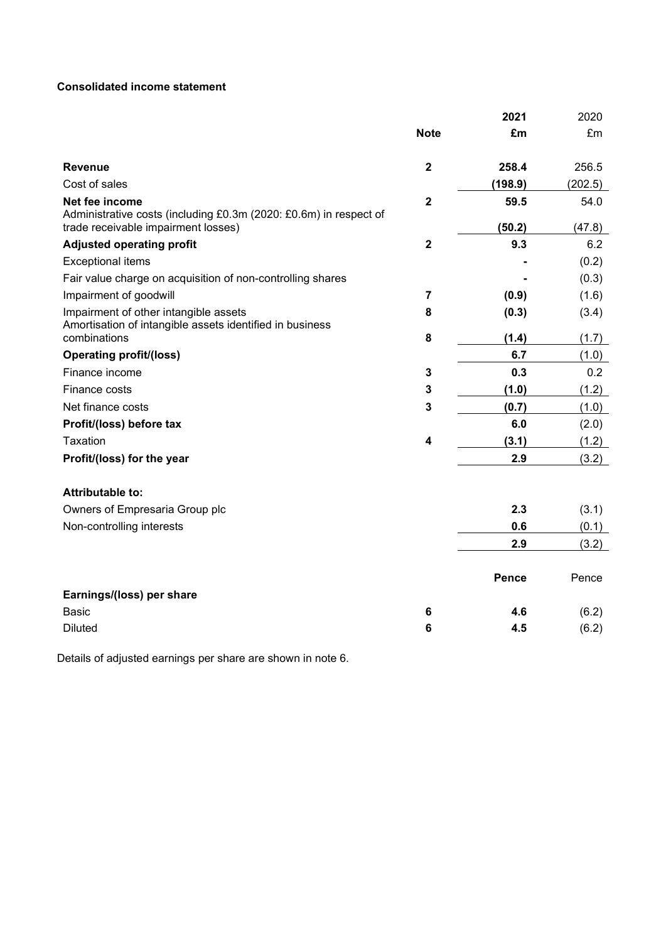# Consolidated income statement

|                                                                                                          |                         | 2021    | 2020    |
|----------------------------------------------------------------------------------------------------------|-------------------------|---------|---------|
|                                                                                                          | <b>Note</b>             | £m      | £m      |
| <b>Revenue</b>                                                                                           | $\mathbf{2}$            | 258.4   | 256.5   |
| Cost of sales                                                                                            |                         | (198.9) | (202.5) |
| Net fee income                                                                                           | $\mathbf{2}$            | 59.5    | 54.0    |
| Administrative costs (including £0.3m (2020: £0.6m) in respect of<br>trade receivable impairment losses) |                         | (50.2)  | (47.8)  |
| <b>Adjusted operating profit</b>                                                                         | $\overline{\mathbf{2}}$ | 9.3     | 6.2     |
| <b>Exceptional items</b>                                                                                 |                         |         | (0.2)   |
| Fair value charge on acquisition of non-controlling shares                                               |                         |         | (0.3)   |
| Impairment of goodwill                                                                                   | $\overline{7}$          | (0.9)   | (1.6)   |
| Impairment of other intangible assets                                                                    | 8                       | (0.3)   | (3.4)   |
| Amortisation of intangible assets identified in business<br>combinations                                 |                         |         |         |
|                                                                                                          | 8                       | (1.4)   | (1.7)   |
| <b>Operating profit/(loss)</b>                                                                           |                         | 6.7     | (1.0)   |
| Finance income                                                                                           | 3                       | 0.3     | 0.2     |
| Finance costs                                                                                            | 3                       | (1.0)   | (1.2)   |
| Net finance costs                                                                                        | 3                       | (0.7)   | (1.0)   |
| Profit/(loss) before tax                                                                                 |                         | 6.0     | (2.0)   |
| Taxation                                                                                                 | 4                       | (3.1)   | (1.2)   |
| Profit/(loss) for the year                                                                               |                         | 2.9     | (3.2)   |
| <b>Attributable to:</b>                                                                                  |                         |         |         |
| Owners of Empresaria Group plc                                                                           |                         | 2.3     | (3.1)   |
| Non-controlling interests                                                                                |                         | 0.6     | (0.1)   |
|                                                                                                          |                         | 2.9     | (3.2)   |
|                                                                                                          |                         | Pence   | Pence   |
| Earnings/(loss) per share                                                                                |                         |         |         |
| <b>Basic</b>                                                                                             | 6                       | 4.6     | (6.2)   |
| <b>Diluted</b>                                                                                           | 6                       | 4.5     | (6.2)   |

Details of adjusted earnings per share are shown in note 6.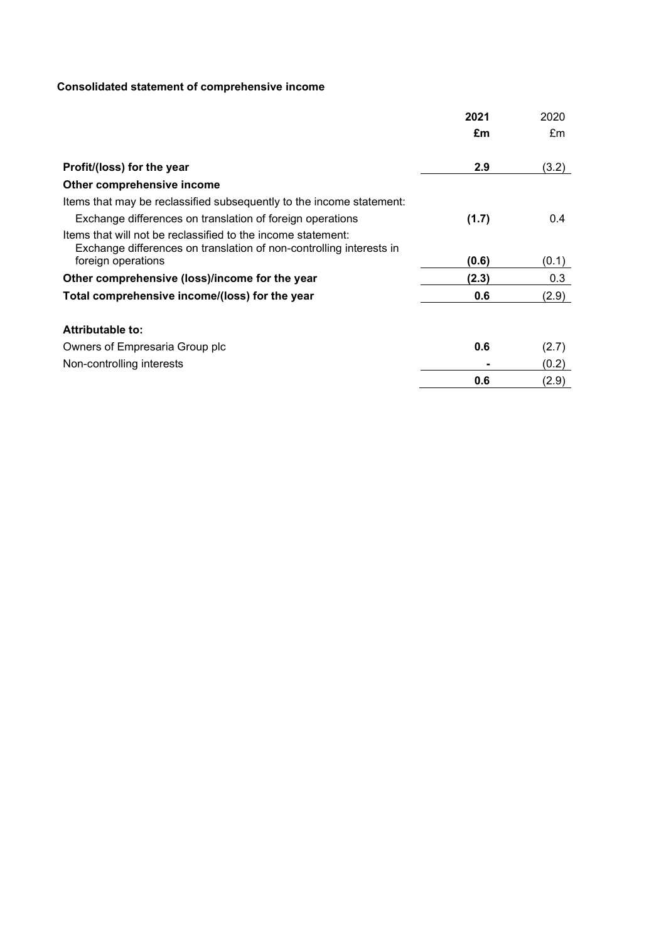# Consolidated statement of comprehensive income

|                                                                                                                                                           | 2021  | 2020  |
|-----------------------------------------------------------------------------------------------------------------------------------------------------------|-------|-------|
|                                                                                                                                                           | £m    | £m    |
| Profit/(loss) for the year                                                                                                                                | 2.9   | (3.2) |
| Other comprehensive income                                                                                                                                |       |       |
| Items that may be reclassified subsequently to the income statement:                                                                                      |       |       |
| Exchange differences on translation of foreign operations                                                                                                 | (1.7) | 0.4   |
| Items that will not be reclassified to the income statement:<br>Exchange differences on translation of non-controlling interests in<br>foreign operations | (0.6) | (0.1) |
|                                                                                                                                                           |       |       |
| Other comprehensive (loss)/income for the year                                                                                                            | (2.3) | 0.3   |
| Total comprehensive income/(loss) for the year                                                                                                            | 0.6   | (2.9) |
| Attributable to:                                                                                                                                          |       |       |
| Owners of Empresaria Group plc                                                                                                                            | 0.6   | (2.7) |
| Non-controlling interests                                                                                                                                 |       | (0.2) |
|                                                                                                                                                           | 0.6   | (2.9) |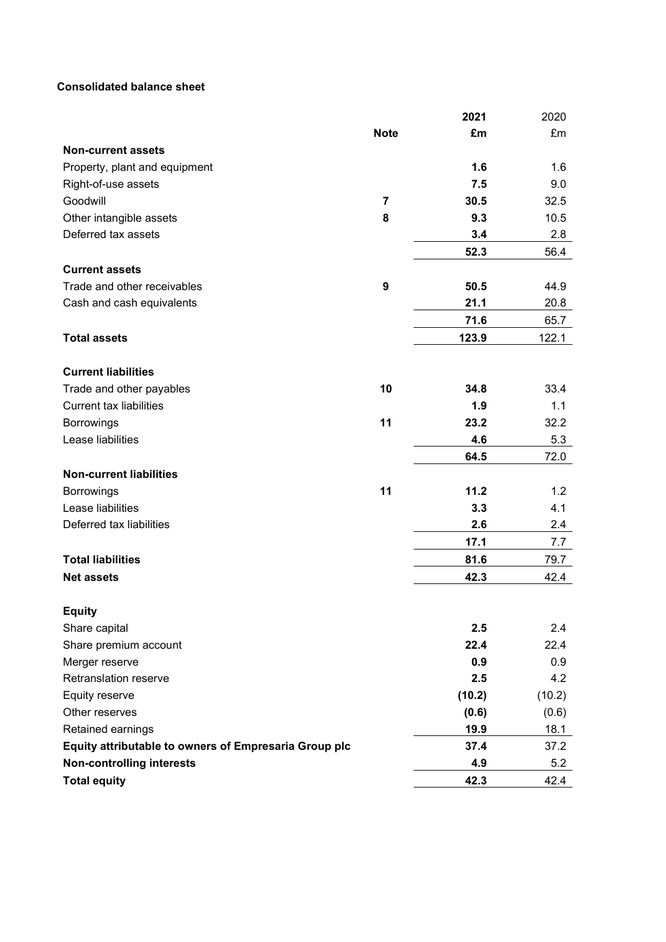# Consolidated balance sheet

|                                                       |                  | 2021   | 2020   |
|-------------------------------------------------------|------------------|--------|--------|
|                                                       | <b>Note</b>      | £m     | £m     |
| <b>Non-current assets</b>                             |                  |        |        |
| Property, plant and equipment                         |                  | 1.6    | 1.6    |
| Right-of-use assets                                   |                  | 7.5    | 9.0    |
| Goodwill                                              | 7                | 30.5   | 32.5   |
| Other intangible assets                               | 8                | 9.3    | 10.5   |
| Deferred tax assets                                   |                  | 3.4    | 2.8    |
|                                                       |                  | 52.3   | 56.4   |
| <b>Current assets</b>                                 |                  |        |        |
| Trade and other receivables                           | $\boldsymbol{9}$ | 50.5   | 44.9   |
| Cash and cash equivalents                             |                  | 21.1   | 20.8   |
|                                                       |                  | 71.6   | 65.7   |
| <b>Total assets</b>                                   |                  | 123.9  | 122.1  |
|                                                       |                  |        |        |
| <b>Current liabilities</b>                            |                  |        |        |
| Trade and other payables                              | 10               | 34.8   | 33.4   |
| <b>Current tax liabilities</b>                        |                  | 1.9    | 1.1    |
| <b>Borrowings</b>                                     | 11               | 23.2   | 32.2   |
| Lease liabilities                                     |                  | 4.6    | 5.3    |
|                                                       |                  | 64.5   | 72.0   |
| <b>Non-current liabilities</b>                        |                  |        |        |
| <b>Borrowings</b>                                     | 11               | 11.2   | 1.2    |
| Lease liabilities                                     |                  | 3.3    | 4.1    |
| Deferred tax liabilities                              |                  | 2.6    | 2.4    |
|                                                       |                  | 17.1   | 7.7    |
| <b>Total liabilities</b>                              |                  | 81.6   | 79.7   |
| <b>Net assets</b>                                     |                  | 42.3   | 42.4   |
|                                                       |                  |        |        |
| <b>Equity</b>                                         |                  |        |        |
| Share capital                                         |                  | 2.5    | 2.4    |
| Share premium account                                 |                  | 22.4   | 22.4   |
| Merger reserve                                        |                  | 0.9    | 0.9    |
| Retranslation reserve                                 |                  | 2.5    | 4.2    |
| Equity reserve                                        |                  | (10.2) | (10.2) |
| Other reserves                                        |                  | (0.6)  | (0.6)  |
| Retained earnings                                     |                  | 19.9   | 18.1   |
| Equity attributable to owners of Empresaria Group plc |                  | 37.4   | 37.2   |
| <b>Non-controlling interests</b>                      |                  | 4.9    | 5.2    |
| <b>Total equity</b>                                   |                  | 42.3   | 42.4   |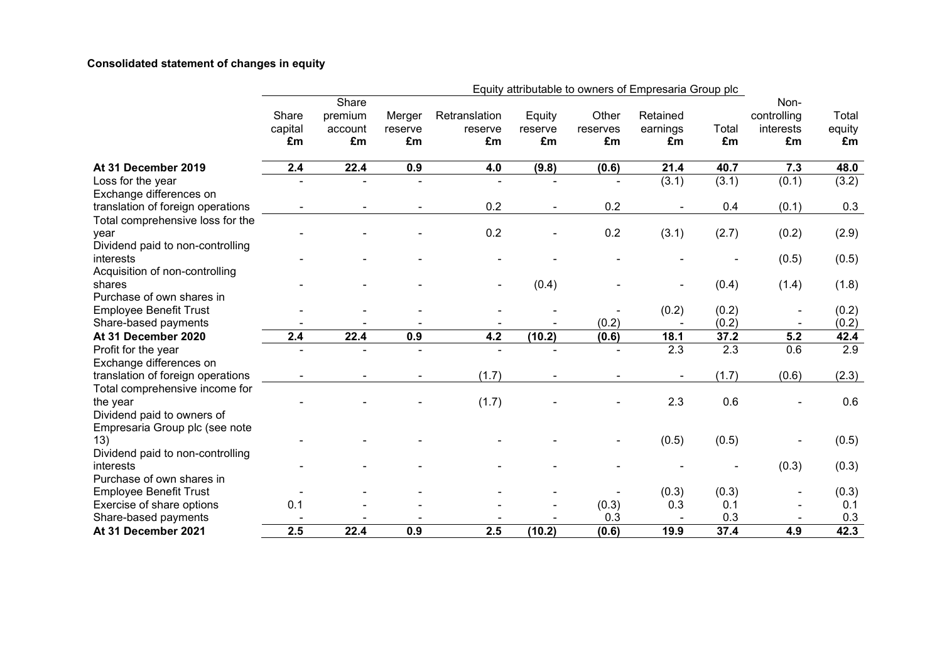# Consolidated statement of changes in equity

|                                             | Equity attributable to owners of Empresaria Group plc |                                   |                         |                                |                         |                         |                            |                |                                        |                       |
|---------------------------------------------|-------------------------------------------------------|-----------------------------------|-------------------------|--------------------------------|-------------------------|-------------------------|----------------------------|----------------|----------------------------------------|-----------------------|
|                                             | Share<br>capital<br>£m                                | Share<br>premium<br>account<br>£m | Merger<br>reserve<br>£m | Retranslation<br>reserve<br>£m | Equity<br>reserve<br>£m | Other<br>reserves<br>£m | Retained<br>earnings<br>£m | Total<br>£m    | Non-<br>controlling<br>interests<br>£m | Total<br>equity<br>£m |
| At 31 December 2019                         | 2.4                                                   | 22.4                              | 0.9                     | 4.0                            | (9.8)                   | (0.6)                   | 21.4                       | 40.7           | 7.3                                    | 48.0                  |
| Loss for the year                           |                                                       |                                   |                         |                                |                         |                         | (3.1)                      | (3.1)          | (0.1)                                  | (3.2)                 |
| Exchange differences on                     |                                                       |                                   |                         |                                |                         |                         |                            |                |                                        |                       |
| translation of foreign operations           |                                                       |                                   |                         | 0.2                            |                         | 0.2                     |                            | 0.4            | (0.1)                                  | 0.3                   |
| Total comprehensive loss for the            |                                                       |                                   |                         |                                |                         |                         |                            |                |                                        |                       |
| vear                                        |                                                       |                                   |                         | 0.2                            |                         | 0.2                     | (3.1)                      | (2.7)          | (0.2)                                  | (2.9)                 |
| Dividend paid to non-controlling            |                                                       |                                   |                         |                                |                         |                         |                            |                |                                        |                       |
| interests                                   |                                                       |                                   |                         |                                |                         |                         |                            |                | (0.5)                                  | (0.5)                 |
| Acquisition of non-controlling              |                                                       |                                   |                         |                                |                         |                         |                            |                |                                        |                       |
| shares                                      |                                                       |                                   |                         |                                | (0.4)                   |                         |                            | (0.4)          | (1.4)                                  | (1.8)                 |
| Purchase of own shares in                   |                                                       |                                   |                         |                                |                         |                         |                            |                |                                        |                       |
| <b>Employee Benefit Trust</b>               |                                                       |                                   |                         |                                |                         | (0.2)                   | (0.2)                      | (0.2)<br>(0.2) | $\overline{\phantom{a}}$               | (0.2)<br>(0.2)        |
| Share-based payments<br>At 31 December 2020 | 2.4                                                   | 22.4                              | 0.9                     | 4.2                            | (10.2)                  | (0.6)                   | 18.1                       | 37.2           | 5.2                                    | 42.4                  |
| Profit for the year                         | $\blacksquare$                                        |                                   |                         |                                |                         | $\blacksquare$          | 2.3                        | 2.3            | 0.6                                    | 2.9                   |
| Exchange differences on                     |                                                       |                                   |                         |                                |                         |                         |                            |                |                                        |                       |
| translation of foreign operations           |                                                       |                                   |                         | (1.7)                          |                         |                         |                            | (1.7)          | (0.6)                                  | (2.3)                 |
| Total comprehensive income for              |                                                       |                                   |                         |                                |                         |                         |                            |                |                                        |                       |
| the year                                    |                                                       |                                   |                         | (1.7)                          |                         |                         | 2.3                        | 0.6            |                                        | 0.6                   |
| Dividend paid to owners of                  |                                                       |                                   |                         |                                |                         |                         |                            |                |                                        |                       |
| Empresaria Group plc (see note              |                                                       |                                   |                         |                                |                         |                         |                            |                |                                        |                       |
| 13)                                         |                                                       |                                   |                         |                                |                         |                         | (0.5)                      | (0.5)          |                                        | (0.5)                 |
| Dividend paid to non-controlling            |                                                       |                                   |                         |                                |                         |                         |                            |                |                                        |                       |
| interests                                   |                                                       |                                   |                         |                                |                         |                         |                            |                | (0.3)                                  | (0.3)                 |
| Purchase of own shares in                   |                                                       |                                   |                         |                                |                         |                         |                            |                |                                        |                       |
| <b>Employee Benefit Trust</b>               |                                                       |                                   |                         |                                |                         |                         | (0.3)                      | (0.3)          | $\blacksquare$                         | (0.3)                 |
| Exercise of share options                   | 0.1                                                   |                                   |                         |                                |                         | (0.3)                   | 0.3                        | 0.1            |                                        | 0.1                   |
| Share-based payments                        |                                                       |                                   |                         |                                |                         | 0.3                     |                            | 0.3            |                                        | 0.3                   |
| At 31 December 2021                         | 2.5                                                   | 22.4                              | 0.9                     | 2.5                            | (10.2)                  | (0.6)                   | 19.9                       | 37.4           | 4.9                                    | 42.3                  |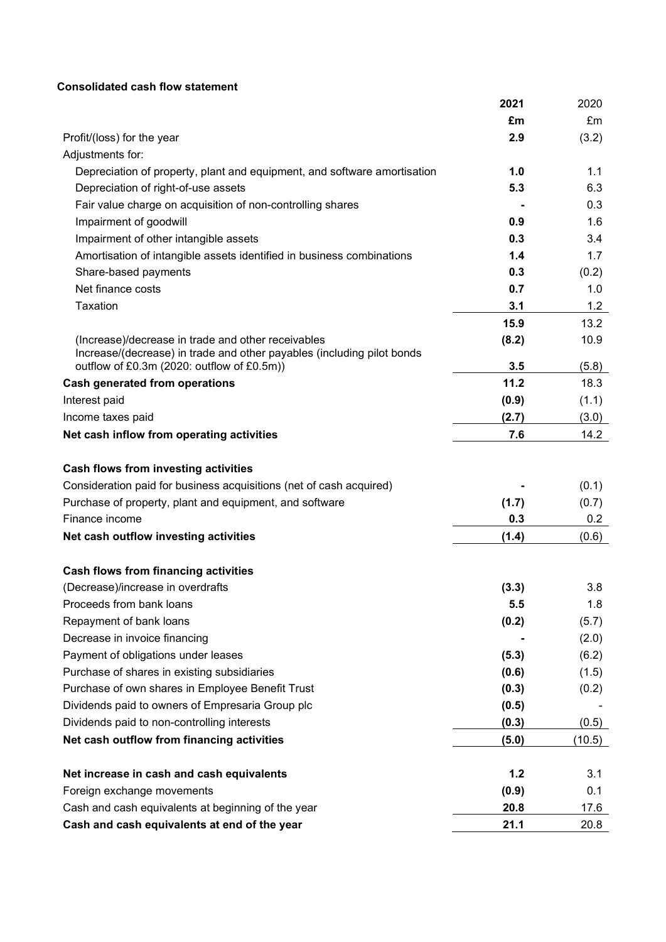# Consolidated cash flow statement

|                                                                                     | 2021         | 2020          |
|-------------------------------------------------------------------------------------|--------------|---------------|
|                                                                                     | £m           | £m            |
| Profit/(loss) for the year                                                          | 2.9          | (3.2)         |
| Adjustments for:                                                                    |              |               |
| Depreciation of property, plant and equipment, and software amortisation            | 1.0          | 1.1           |
| Depreciation of right-of-use assets                                                 | 5.3          | 6.3           |
| Fair value charge on acquisition of non-controlling shares                          |              | 0.3           |
| Impairment of goodwill                                                              | 0.9          | 1.6           |
| Impairment of other intangible assets                                               | 0.3          | 3.4           |
| Amortisation of intangible assets identified in business combinations               | 1.4          | 1.7           |
| Share-based payments                                                                | 0.3          | (0.2)         |
| Net finance costs                                                                   | 0.7          | 1.0           |
| Taxation                                                                            | 3.1          | 1.2           |
|                                                                                     | 15.9         | 13.2          |
| (Increase)/decrease in trade and other receivables                                  | (8.2)        | 10.9          |
| Increase/(decrease) in trade and other payables (including pilot bonds              |              |               |
| outflow of £0.3m (2020: outflow of £0.5m))<br><b>Cash generated from operations</b> | 3.5<br>11.2  | (5.8)<br>18.3 |
|                                                                                     |              |               |
| Interest paid                                                                       | (0.9)        | (1.1)         |
| Income taxes paid                                                                   | (2.7)        | (3.0)         |
| Net cash inflow from operating activities                                           | 7.6          | 14.2          |
|                                                                                     |              |               |
| Cash flows from investing activities                                                |              |               |
| Consideration paid for business acquisitions (net of cash acquired)                 |              | (0.1)         |
| Purchase of property, plant and equipment, and software<br>Finance income           | (1.7)<br>0.3 | (0.7)         |
|                                                                                     |              | $0.2\,$       |
| Net cash outflow investing activities                                               | (1.4)        | (0.6)         |
| <b>Cash flows from financing activities</b>                                         |              |               |
| (Decrease)/increase in overdrafts                                                   | (3.3)        | 3.8           |
| Proceeds from bank loans                                                            | 5.5          | 1.8           |
| Repayment of bank loans                                                             | (0.2)        | (5.7)         |
| Decrease in invoice financing                                                       |              | (2.0)         |
| Payment of obligations under leases                                                 | (5.3)        | (6.2)         |
| Purchase of shares in existing subsidiaries                                         | (0.6)        | (1.5)         |
| Purchase of own shares in Employee Benefit Trust                                    | (0.3)        | (0.2)         |
| Dividends paid to owners of Empresaria Group plc                                    | (0.5)        |               |
| Dividends paid to non-controlling interests                                         | (0.3)        | (0.5)         |
| Net cash outflow from financing activities                                          | (5.0)        | (10.5)        |
|                                                                                     |              |               |
| Net increase in cash and cash equivalents                                           | 1.2          | 3.1           |
| Foreign exchange movements                                                          | (0.9)        | 0.1           |
| Cash and cash equivalents at beginning of the year                                  | 20.8         | 17.6          |
| Cash and cash equivalents at end of the year                                        | 21.1         | 20.8          |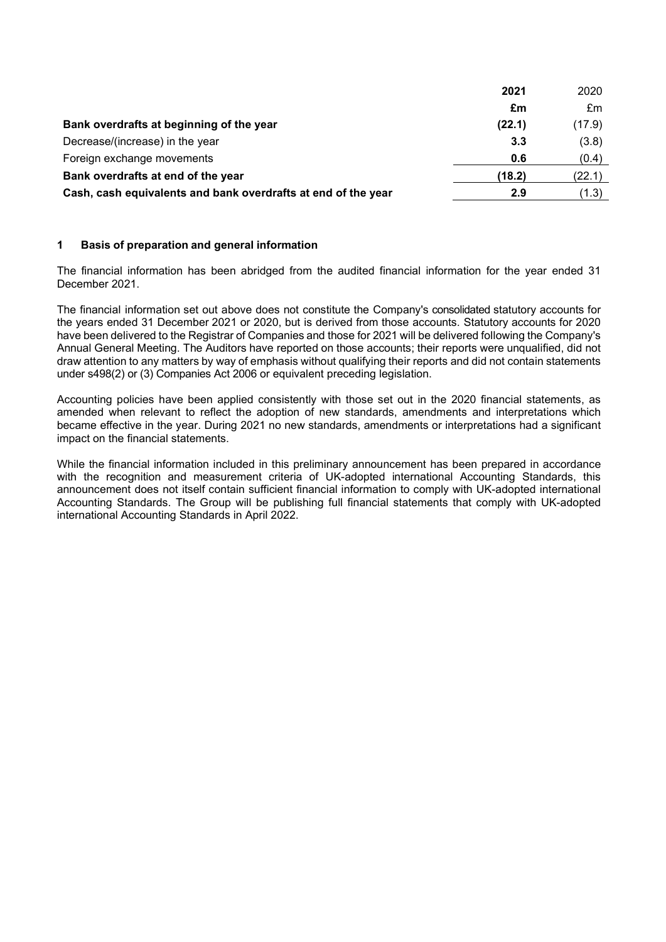|                                                               | 2021   | 2020   |
|---------------------------------------------------------------|--------|--------|
|                                                               | £m     | £m     |
| Bank overdrafts at beginning of the year                      | (22.1) | (17.9) |
| Decrease/(increase) in the year                               | 3.3    | (3.8)  |
| Foreign exchange movements                                    | 0.6    | (0.4)  |
| Bank overdrafts at end of the year                            | (18.2) | (22.1) |
| Cash, cash equivalents and bank overdrafts at end of the year | 2.9    | (1.3)  |

#### 1 Basis of preparation and general information

The financial information has been abridged from the audited financial information for the year ended 31 December 2021.

The financial information set out above does not constitute the Company's consolidated statutory accounts for the years ended 31 December 2021 or 2020, but is derived from those accounts. Statutory accounts for 2020 have been delivered to the Registrar of Companies and those for 2021 will be delivered following the Company's Annual General Meeting. The Auditors have reported on those accounts; their reports were unqualified, did not draw attention to any matters by way of emphasis without qualifying their reports and did not contain statements under s498(2) or (3) Companies Act 2006 or equivalent preceding legislation.

Accounting policies have been applied consistently with those set out in the 2020 financial statements, as amended when relevant to reflect the adoption of new standards, amendments and interpretations which became effective in the year. During 2021 no new standards, amendments or interpretations had a significant impact on the financial statements.

While the financial information included in this preliminary announcement has been prepared in accordance with the recognition and measurement criteria of UK-adopted international Accounting Standards, this announcement does not itself contain sufficient financial information to comply with UK-adopted international Accounting Standards. The Group will be publishing full financial statements that comply with UK-adopted international Accounting Standards in April 2022.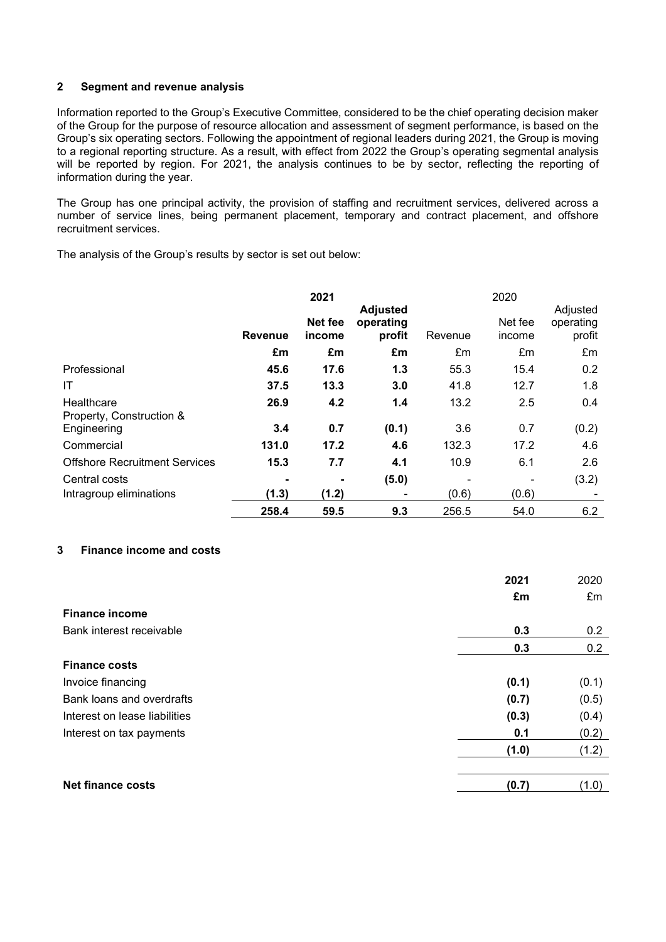## 2 Segment and revenue analysis

Information reported to the Group's Executive Committee, considered to be the chief operating decision maker of the Group for the purpose of resource allocation and assessment of segment performance, is based on the Group's six operating sectors. Following the appointment of regional leaders during 2021, the Group is moving to a regional reporting structure. As a result, with effect from 2022 the Group's operating segmental analysis will be reported by region. For 2021, the analysis continues to be by sector, reflecting the reporting of information during the year.

The Group has one principal activity, the provision of staffing and recruitment services, delivered across a number of service lines, being permanent placement, temporary and contract placement, and offshore recruitment services.

The analysis of the Group's results by sector is set out below:

|                                        |                | 2021              |                                        |                          | 2020              |                                 |
|----------------------------------------|----------------|-------------------|----------------------------------------|--------------------------|-------------------|---------------------------------|
|                                        | <b>Revenue</b> | Net fee<br>income | <b>Adjusted</b><br>operating<br>profit | Revenue                  | Net fee<br>income | Adjusted<br>operating<br>profit |
|                                        | £m             | £m                | £m                                     | £m                       | £m                | £m                              |
| Professional                           | 45.6           | 17.6              | 1.3                                    | 55.3                     | 15.4              | 0.2                             |
| IT                                     | 37.5           | 13.3              | 3.0                                    | 41.8                     | 12.7              | 1.8                             |
| Healthcare<br>Property, Construction & | 26.9           | 4.2               | 1.4                                    | 13.2                     | 2.5               | 0.4                             |
| Engineering                            | 3.4            | 0.7               | (0.1)                                  | 3.6                      | 0.7               | (0.2)                           |
| Commercial                             | 131.0          | 17.2              | 4.6                                    | 132.3                    | 17.2              | 4.6                             |
| <b>Offshore Recruitment Services</b>   | 15.3           | 7.7               | 4.1                                    | 10.9                     | 6.1               | 2.6                             |
| Central costs                          |                |                   | (5.0)                                  | $\overline{\phantom{a}}$ |                   | (3.2)                           |
| Intragroup eliminations                | (1.3)          | (1.2)             |                                        | (0.6)                    | (0.6)             |                                 |
|                                        | 258.4          | 59.5              | 9.3                                    | 256.5                    | 54.0              | 6.2                             |

## 3 Finance income and costs

|                               | 2021  | 2020  |
|-------------------------------|-------|-------|
|                               | £m    | £m    |
| <b>Finance income</b>         |       |       |
| Bank interest receivable      | 0.3   | 0.2   |
|                               | 0.3   | 0.2   |
| <b>Finance costs</b>          |       |       |
| Invoice financing             | (0.1) | (0.1) |
| Bank loans and overdrafts     | (0.7) | (0.5) |
| Interest on lease liabilities | (0.3) | (0.4) |
| Interest on tax payments      | 0.1   | (0.2) |
|                               | (1.0) | (1.2) |
|                               |       |       |
| <b>Net finance costs</b>      | (0.7) | (1.0) |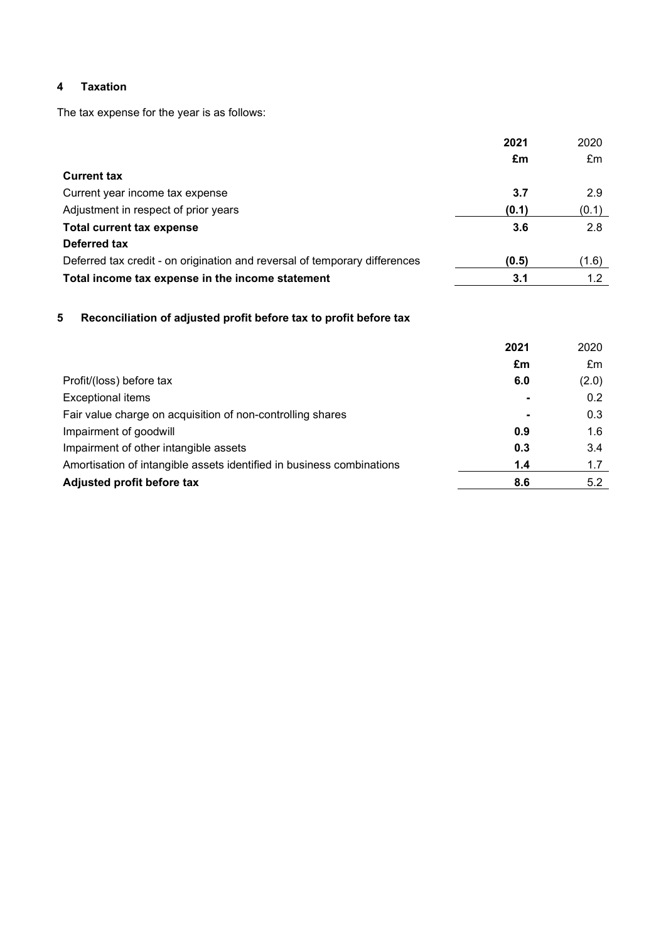# 4 Taxation

The tax expense for the year is as follows:

|                                                                            | 2021  | 2020  |
|----------------------------------------------------------------------------|-------|-------|
|                                                                            | £m    | £m    |
| <b>Current tax</b>                                                         |       |       |
| Current year income tax expense                                            | 3.7   | 2.9   |
| Adjustment in respect of prior years                                       | (0.1) | (0.1) |
| Total current tax expense                                                  | 3.6   | 2.8   |
| Deferred tax                                                               |       |       |
| Deferred tax credit - on origination and reversal of temporary differences | (0.5) | (1.6) |
| Total income tax expense in the income statement                           | 3.1   | 1.2   |

# 5 Reconciliation of adjusted profit before tax to profit before tax

|                                                                       | 2021 | 2020  |
|-----------------------------------------------------------------------|------|-------|
|                                                                       | £m   | £m    |
| Profit/(loss) before tax                                              | 6.0  | (2.0) |
| <b>Exceptional items</b>                                              |      | 0.2   |
| Fair value charge on acquisition of non-controlling shares            |      | 0.3   |
| Impairment of goodwill                                                | 0.9  | 1.6   |
| Impairment of other intangible assets                                 | 0.3  | 3.4   |
| Amortisation of intangible assets identified in business combinations | 1.4  | 1.7   |
| Adjusted profit before tax                                            | 8.6  | 5.2   |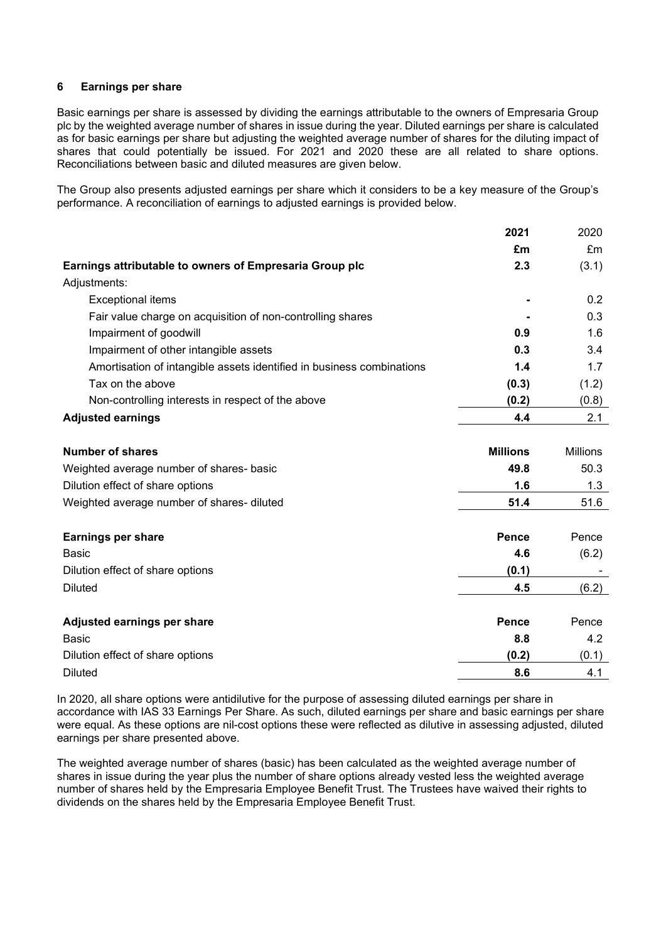## 6 Earnings per share

Basic earnings per share is assessed by dividing the earnings attributable to the owners of Empresaria Group plc by the weighted average number of shares in issue during the year. Diluted earnings per share is calculated as for basic earnings per share but adjusting the weighted average number of shares for the diluting impact of shares that could potentially be issued. For 2021 and 2020 these are all related to share options. Reconciliations between basic and diluted measures are given below.

The Group also presents adjusted earnings per share which it considers to be a key measure of the Group's performance. A reconciliation of earnings to adjusted earnings is provided below.

|                                                                       | 2021  | 2020  |
|-----------------------------------------------------------------------|-------|-------|
|                                                                       | £m    | £m    |
| Earnings attributable to owners of Empresaria Group plc               | 2.3   | (3.1) |
| Adjustments:                                                          |       |       |
| <b>Exceptional items</b>                                              |       | 0.2   |
| Fair value charge on acquisition of non-controlling shares            |       | 0.3   |
| Impairment of goodwill                                                | 0.9   | 1.6   |
| Impairment of other intangible assets                                 | 0.3   | 3.4   |
| Amortisation of intangible assets identified in business combinations | 1.4   | 1.7   |
| Tax on the above                                                      | (0.3) | (1.2) |
| Non-controlling interests in respect of the above                     | (0.2) | (0.8) |
| <b>Adjusted earnings</b>                                              | 4.4   | 2.1   |

| Number of shares                           | <b>Millions</b> | Millions |
|--------------------------------------------|-----------------|----------|
| Weighted average number of shares- basic   | 49.8            | 50.3     |
| Dilution effect of share options           | 1.6             | 1.3      |
| Weighted average number of shares- diluted | 51.4            | 51.6     |

| <b>Earnings per share</b>        | <b>Pence</b> | Pence |
|----------------------------------|--------------|-------|
| Basic                            | 4.6          | (6.2) |
| Dilution effect of share options | (0.1)        |       |
| <b>Diluted</b>                   | 4.5          | (6.2) |
|                                  |              |       |
| Adjusted earnings per share      | Pence        | Pence |
| Basic                            | 8.8          | 4.2   |
| Dilution effect of share options | (0.2)        | (0.1) |
| <b>Diluted</b>                   | 8.6          | 4.1   |

In 2020, all share options were antidilutive for the purpose of assessing diluted earnings per share in accordance with IAS 33 Earnings Per Share. As such, diluted earnings per share and basic earnings per share were equal. As these options are nil-cost options these were reflected as dilutive in assessing adjusted, diluted earnings per share presented above.

The weighted average number of shares (basic) has been calculated as the weighted average number of shares in issue during the year plus the number of share options already vested less the weighted average number of shares held by the Empresaria Employee Benefit Trust. The Trustees have waived their rights to dividends on the shares held by the Empresaria Employee Benefit Trust.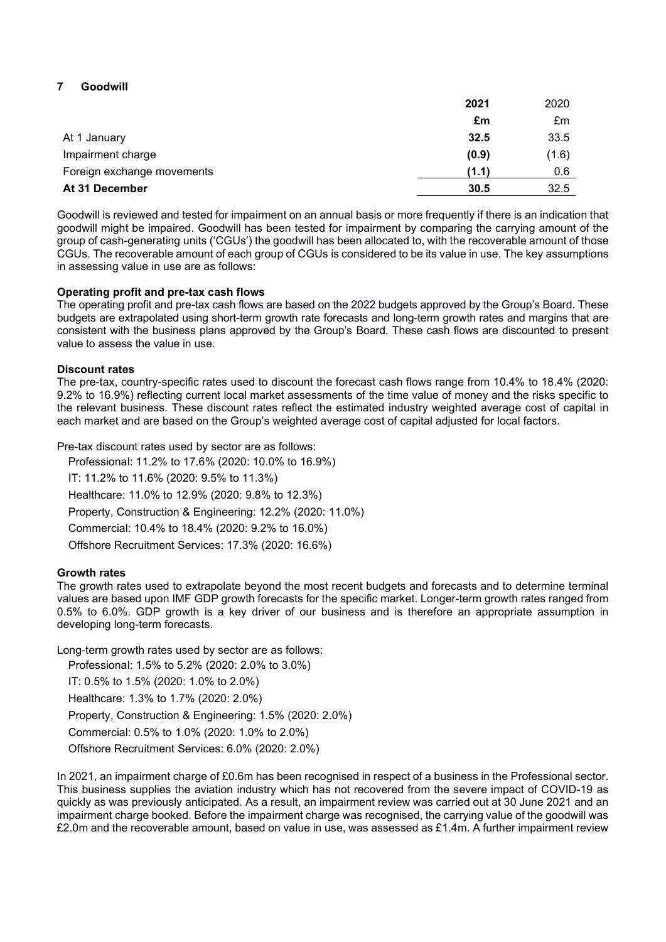# 7 Goodwill

|                            | 2021  | 2020  |
|----------------------------|-------|-------|
|                            | £m    | £m    |
| At 1 January               | 32.5  | 33.5  |
| Impairment charge          | (0.9) | (1.6) |
| Foreign exchange movements | (1.1) | 0.6   |
| At 31 December             | 30.5  | 32.5  |

Goodwill is reviewed and tested for impairment on an annual basis or more frequently if there is an indication that goodwill might be impaired. Goodwill has been tested for impairment by comparing the carrying amount of the group of cash-generating units ('CGUs') the goodwill has been allocated to, with the recoverable amount of those CGUs. The recoverable amount of each group of CGUs is considered to be its value in use. The key assumptions in assessing value in use are as follows:

## Operating profit and pre-tax cash flows

The operating profit and pre-tax cash flows are based on the 2022 budgets approved by the Group's Board. These budgets are extrapolated using short-term growth rate forecasts and long-term growth rates and margins that are consistent with the business plans approved by the Group's Board. These cash flows are discounted to present value to assess the value in use.

#### Discount rates

The pre-tax, country-specific rates used to discount the forecast cash flows range from 10.4% to 18.4% (2020: 9.2% to 16.9%) reflecting current local market assessments of the time value of money and the risks specific to the relevant business. These discount rates reflect the estimated industry weighted average cost of capital in each market and are based on the Group's weighted average cost of capital adjusted for local factors.

Pre-tax discount rates used by sector are as follows:

Professional: 11.2% to 17.6% (2020: 10.0% to 16.9%) IT: 11.2% to 11.6% (2020: 9.5% to 11.3%) Healthcare: 11.0% to 12.9% (2020: 9.8% to 12.3%) Property, Construction & Engineering: 12.2% (2020: 11.0%) Commercial: 10.4% to 18.4% (2020: 9.2% to 16.0%) Offshore Recruitment Services: 17.3% (2020: 16.6%)

#### Growth rates

The growth rates used to extrapolate beyond the most recent budgets and forecasts and to determine terminal values are based upon IMF GDP growth forecasts for the specific market. Longer-term growth rates ranged from 0.5% to 6.0%. GDP growth is a key driver of our business and is therefore an appropriate assumption in developing long-term forecasts.

Long-term growth rates used by sector are as follows:

Professional: 1.5% to 5.2% (2020: 2.0% to 3.0%)

IT: 0.5% to 1.5% (2020: 1.0% to 2.0%) Healthcare: 1.3% to 1.7% (2020: 2.0%) Property, Construction & Engineering: 1.5% (2020: 2.0%) Commercial: 0.5% to 1.0% (2020: 1.0% to 2.0%) Offshore Recruitment Services: 6.0% (2020: 2.0%)

In 2021, an impairment charge of £0.6m has been recognised in respect of a business in the Professional sector. This business supplies the aviation industry which has not recovered from the severe impact of COVID-19 as quickly as was previously anticipated. As a result, an impairment review was carried out at 30 June 2021 and an impairment charge booked. Before the impairment charge was recognised, the carrying value of the goodwill was £2.0m and the recoverable amount, based on value in use, was assessed as £1.4m. A further impairment review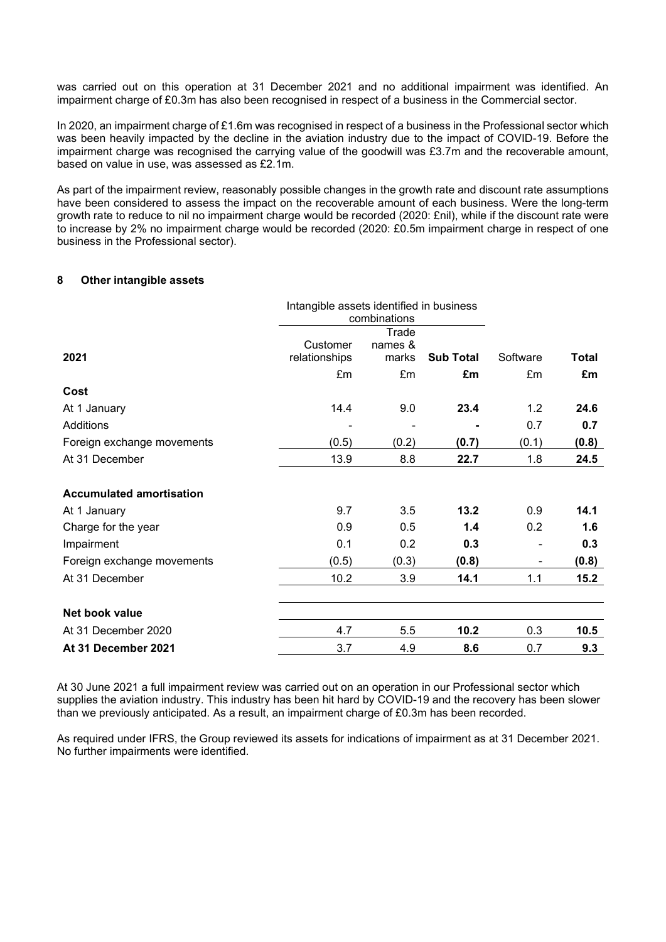was carried out on this operation at 31 December 2021 and no additional impairment was identified. An impairment charge of £0.3m has also been recognised in respect of a business in the Commercial sector.

In 2020, an impairment charge of £1.6m was recognised in respect of a business in the Professional sector which was been heavily impacted by the decline in the aviation industry due to the impact of COVID-19. Before the impairment charge was recognised the carrying value of the goodwill was £3.7m and the recoverable amount, based on value in use, was assessed as £2.1m.

As part of the impairment review, reasonably possible changes in the growth rate and discount rate assumptions have been considered to assess the impact on the recoverable amount of each business. Were the long-term growth rate to reduce to nil no impairment charge would be recorded (2020: £nil), while if the discount rate were to increase by 2% no impairment charge would be recorded (2020: £0.5m impairment charge in respect of one business in the Professional sector).

#### 8 Other intangible assets

|                                 | Intangible assets identified in business<br>combinations |                  |                  |          |       |
|---------------------------------|----------------------------------------------------------|------------------|------------------|----------|-------|
|                                 |                                                          | Trade            |                  |          |       |
| 2021                            | Customer<br>relationships                                | names &<br>marks | <b>Sub Total</b> | Software | Total |
|                                 | £m                                                       | £m               | £m               | £m       | £m    |
| Cost                            |                                                          |                  |                  |          |       |
| At 1 January                    | 14.4                                                     | 9.0              | 23.4             | 1.2      | 24.6  |
| Additions                       |                                                          | ۰                |                  | 0.7      | 0.7   |
| Foreign exchange movements      | (0.5)                                                    | (0.2)            | (0.7)            | (0.1)    | (0.8) |
| At 31 December                  | 13.9                                                     | 8.8              | 22.7             | 1.8      | 24.5  |
| <b>Accumulated amortisation</b> |                                                          |                  |                  |          |       |
| At 1 January                    | 9.7                                                      | 3.5              | 13.2             | 0.9      | 14.1  |
| Charge for the year             | 0.9                                                      | 0.5              | 1.4              | 0.2      | 1.6   |
| Impairment                      | 0.1                                                      | 0.2              | 0.3              |          | 0.3   |
| Foreign exchange movements      | (0.5)                                                    | (0.3)            | (0.8)            |          | (0.8) |
| At 31 December                  | 10.2                                                     | 3.9              | 14.1             | 1.1      | 15.2  |
| Net book value                  |                                                          |                  |                  |          |       |
| At 31 December 2020             | 4.7                                                      | 5.5              | 10.2             | 0.3      | 10.5  |
| At 31 December 2021             | 3.7                                                      | 4.9              | 8.6              | 0.7      | 9.3   |

At 30 June 2021 a full impairment review was carried out on an operation in our Professional sector which supplies the aviation industry. This industry has been hit hard by COVID-19 and the recovery has been slower than we previously anticipated. As a result, an impairment charge of £0.3m has been recorded.

As required under IFRS, the Group reviewed its assets for indications of impairment as at 31 December 2021. No further impairments were identified.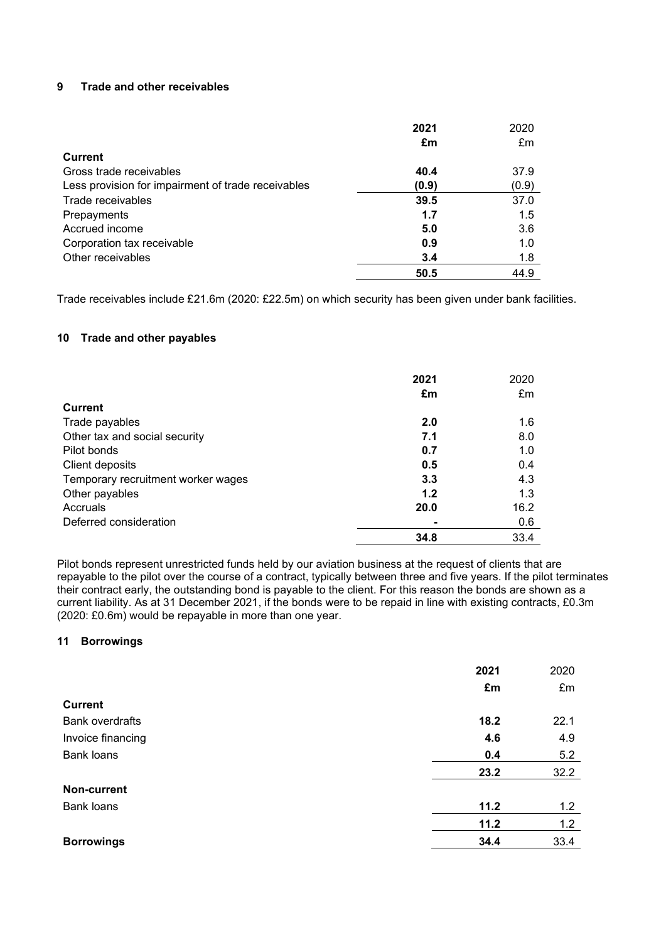## 9 Trade and other receivables

|                                                    | 2021  | 2020  |
|----------------------------------------------------|-------|-------|
|                                                    | £m    | £m    |
| Current                                            |       |       |
| Gross trade receivables                            | 40.4  | 37.9  |
| Less provision for impairment of trade receivables | (0.9) | (0.9) |
| Trade receivables                                  | 39.5  | 37.0  |
| Prepayments                                        | 1.7   | 1.5   |
| Accrued income                                     | 5.0   | 3.6   |
| Corporation tax receivable                         | 0.9   | 1.0   |
| Other receivables                                  | 3.4   | 1.8   |
|                                                    | 50.5  | 44.9  |

Trade receivables include £21.6m (2020: £22.5m) on which security has been given under bank facilities.

## 10 Trade and other payables

|                                    | 2021<br>£m | 2020<br>£m |
|------------------------------------|------------|------------|
| <b>Current</b>                     |            |            |
| Trade payables                     | 2.0        | 1.6        |
| Other tax and social security      | 7.1        | 8.0        |
| Pilot bonds                        | 0.7        | 1.0        |
| Client deposits                    | 0.5        | 0.4        |
| Temporary recruitment worker wages | 3.3        | 4.3        |
| Other payables                     | 1.2        | 1.3        |
| Accruals                           | 20.0       | 16.2       |
| Deferred consideration             |            | 0.6        |
|                                    | 34.8       | 33.4       |

Pilot bonds represent unrestricted funds held by our aviation business at the request of clients that are repayable to the pilot over the course of a contract, typically between three and five years. If the pilot terminates their contract early, the outstanding bond is payable to the client. For this reason the bonds are shown as a current liability. As at 31 December 2021, if the bonds were to be repaid in line with existing contracts, £0.3m (2020: £0.6m) would be repayable in more than one year.

## 11 Borrowings

| £m<br>£m<br><b>Current</b><br><b>Bank overdrafts</b><br>18.2<br>22.1<br>4.9<br>Invoice financing<br>4.6<br><b>Bank loans</b><br>5.2<br>0.4<br>32.2<br>23.2<br>Non-current<br><b>Bank loans</b><br>11.2<br>1.2<br>11.2<br>1.2<br>33.4<br><b>Borrowings</b><br>34.4 | 2021 | 2020 |
|-------------------------------------------------------------------------------------------------------------------------------------------------------------------------------------------------------------------------------------------------------------------|------|------|
|                                                                                                                                                                                                                                                                   |      |      |
|                                                                                                                                                                                                                                                                   |      |      |
|                                                                                                                                                                                                                                                                   |      |      |
|                                                                                                                                                                                                                                                                   |      |      |
|                                                                                                                                                                                                                                                                   |      |      |
|                                                                                                                                                                                                                                                                   |      |      |
|                                                                                                                                                                                                                                                                   |      |      |
|                                                                                                                                                                                                                                                                   |      |      |
|                                                                                                                                                                                                                                                                   |      |      |
|                                                                                                                                                                                                                                                                   |      |      |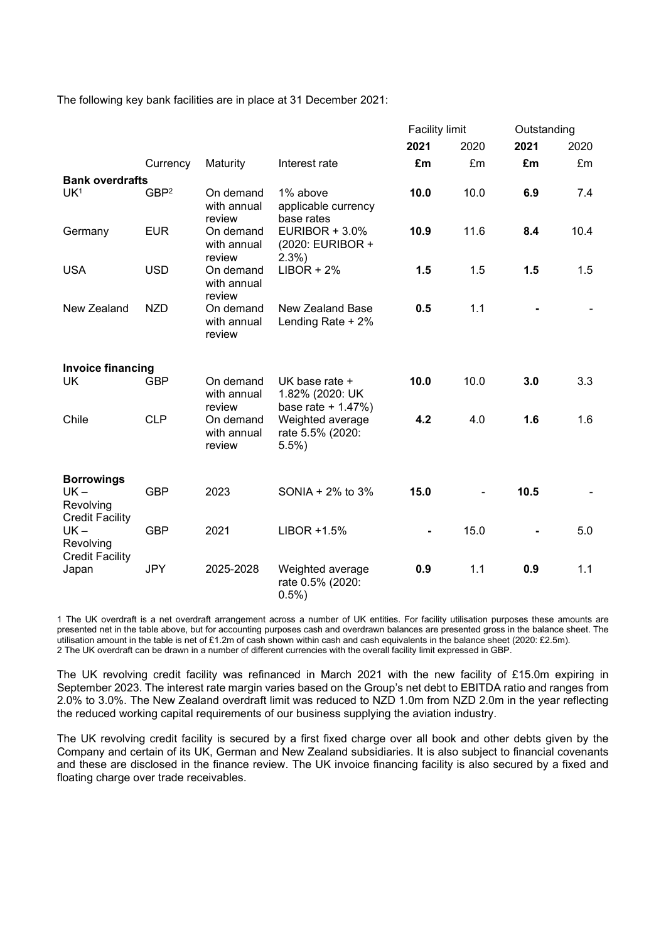The following key bank facilities are in place at 31 December 2021:

|                                               |                  | Outstanding                        |                                                            | <b>Facility limit</b> |      |      |      |  |
|-----------------------------------------------|------------------|------------------------------------|------------------------------------------------------------|-----------------------|------|------|------|--|
|                                               |                  |                                    |                                                            | 2021                  | 2020 | 2021 | 2020 |  |
|                                               | Currency         | Maturity                           | Interest rate                                              | £m                    | £m   | £m   | £m   |  |
| <b>Bank overdrafts</b>                        |                  |                                    |                                                            |                       |      |      |      |  |
| UK <sup>1</sup>                               | GBP <sup>2</sup> | On demand<br>with annual<br>review | 1% above<br>applicable currency<br>base rates              | 10.0                  | 10.0 | 6.9  | 7.4  |  |
| Germany                                       | <b>EUR</b>       | On demand<br>with annual<br>review | <b>EURIBOR + 3.0%</b><br>(2020: EURIBOR +<br>$2.3%$ )      | 10.9                  | 11.6 | 8.4  | 10.4 |  |
| <b>USA</b>                                    | <b>USD</b>       | On demand<br>with annual<br>review | $LIBOR + 2%$                                               | 1.5                   | 1.5  | 1.5  | 1.5  |  |
| New Zealand                                   | <b>NZD</b>       | On demand<br>with annual<br>review | <b>New Zealand Base</b><br>Lending Rate + 2%               | 0.5                   | 1.1  |      |      |  |
| <b>Invoice financing</b>                      |                  |                                    |                                                            |                       |      |      |      |  |
| UK                                            | <b>GBP</b>       | On demand<br>with annual<br>review | UK base rate +<br>1.82% (2020: UK<br>base rate $+1.47\%$ ) | 10.0                  | 10.0 | 3.0  | 3.3  |  |
| Chile                                         | <b>CLP</b>       | On demand<br>with annual<br>review | Weighted average<br>rate 5.5% (2020:<br>5.5%               | 4.2                   | 4.0  | 1.6  | 1.6  |  |
| <b>Borrowings</b><br>$UK -$                   | <b>GBP</b>       | 2023                               | SONIA + 2% to 3%                                           | 15.0                  |      | 10.5 |      |  |
| Revolving<br><b>Credit Facility</b>           |                  |                                    |                                                            |                       |      |      |      |  |
| $UK -$<br>Revolving<br><b>Credit Facility</b> | <b>GBP</b>       | 2021                               | LIBOR +1.5%                                                |                       | 15.0 |      | 5.0  |  |
| Japan                                         | <b>JPY</b>       | 2025-2028                          | Weighted average<br>rate 0.5% (2020:<br>0.5%               | 0.9                   | 1.1  | 0.9  | 1.1  |  |

1 The UK overdraft is a net overdraft arrangement across a number of UK entities. For facility utilisation purposes these amounts are presented net in the table above, but for accounting purposes cash and overdrawn balances are presented gross in the balance sheet. The utilisation amount in the table is net of £1.2m of cash shown within cash and cash equivalents in the balance sheet (2020: £2.5m). 2 The UK overdraft can be drawn in a number of different currencies with the overall facility limit expressed in GBP.

The UK revolving credit facility was refinanced in March 2021 with the new facility of £15.0m expiring in September 2023. The interest rate margin varies based on the Group's net debt to EBITDA ratio and ranges from 2.0% to 3.0%. The New Zealand overdraft limit was reduced to NZD 1.0m from NZD 2.0m in the year reflecting the reduced working capital requirements of our business supplying the aviation industry.

The UK revolving credit facility is secured by a first fixed charge over all book and other debts given by the Company and certain of its UK, German and New Zealand subsidiaries. It is also subject to financial covenants and these are disclosed in the finance review. The UK invoice financing facility is also secured by a fixed and floating charge over trade receivables.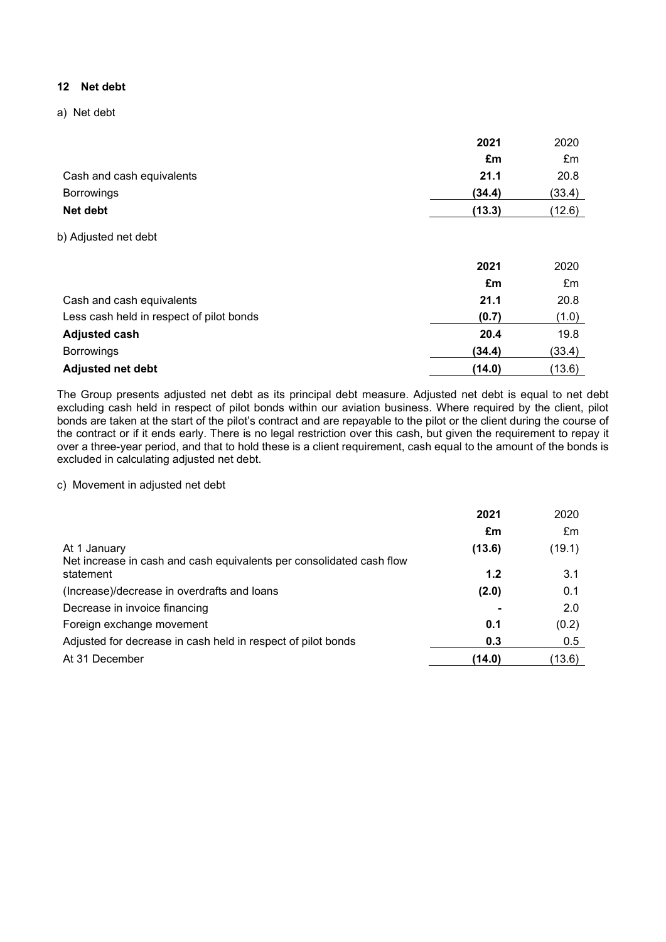## 12 Net debt

a) Net debt

|                                          | 2021   | 2020   |
|------------------------------------------|--------|--------|
|                                          | £m     | £m     |
| Cash and cash equivalents                | 21.1   | 20.8   |
| <b>Borrowings</b>                        | (34.4) | (33.4) |
| Net debt                                 | (13.3) | (12.6) |
| b) Adjusted net debt                     |        |        |
|                                          | 2021   | 2020   |
|                                          | £m     | £m     |
| Cash and cash equivalents                | 21.1   | 20.8   |
| Less cash held in respect of pilot bonds | (0.7)  | (1.0)  |
| <b>Adjusted cash</b>                     | 20.4   | 19.8   |
| <b>Borrowings</b>                        | (34.4) | (33.4) |
| <b>Adjusted net debt</b>                 | (14.0) | (13.6) |

The Group presents adjusted net debt as its principal debt measure. Adjusted net debt is equal to net debt excluding cash held in respect of pilot bonds within our aviation business. Where required by the client, pilot bonds are taken at the start of the pilot's contract and are repayable to the pilot or the client during the course of the contract or if it ends early. There is no legal restriction over this cash, but given the requirement to repay it over a three-year period, and that to hold these is a client requirement, cash equal to the amount of the bonds is excluded in calculating adjusted net debt.

c) Movement in adjusted net debt

|                                                                                      | 2021   | 2020   |
|--------------------------------------------------------------------------------------|--------|--------|
|                                                                                      | £m     | £m     |
| At 1 January<br>Net increase in cash and cash equivalents per consolidated cash flow | (13.6) | (19.1) |
| statement                                                                            | 1.2    | 3.1    |
| (Increase)/decrease in overdrafts and loans                                          | (2.0)  | 0.1    |
| Decrease in invoice financing                                                        |        | 2.0    |
| Foreign exchange movement                                                            | 0.1    | (0.2)  |
| Adjusted for decrease in cash held in respect of pilot bonds                         | 0.3    | 0.5    |
| At 31 December                                                                       | (14.0) | (13.6) |